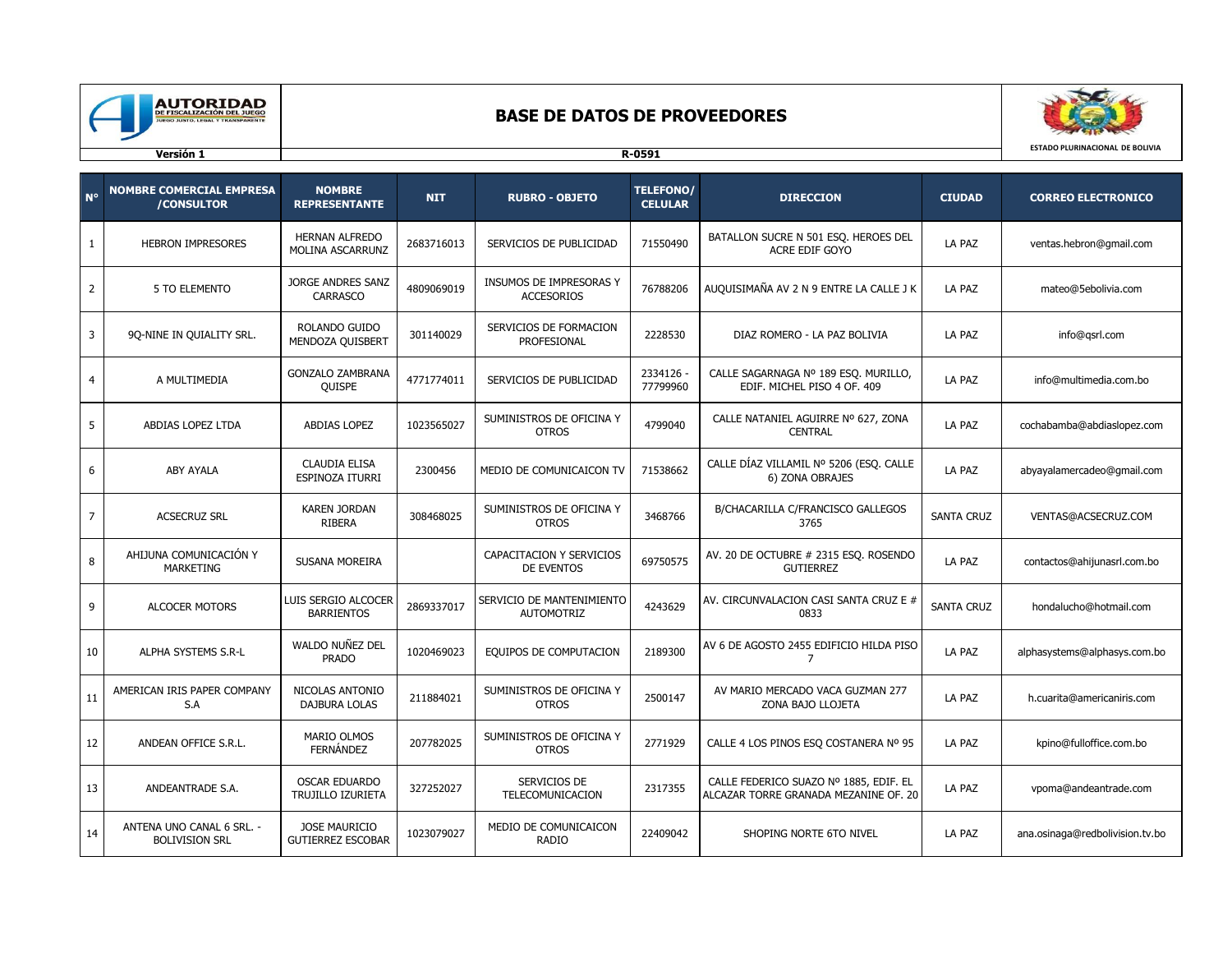

## **BASE DE DATOS DE PROVEEDORES**



| $N^{\circ}$    | <b>NOMBRE COMERCIAL EMPRESA</b><br>/CONSULTOR      | <b>NOMBRE</b><br><b>REPRESENTANTE</b>       | <b>NIT</b> | <b>RUBRO - OBJETO</b>                          | <b>TELEFONO/</b><br><b>CELULAR</b> | <b>DIRECCION</b>                                                                | <b>CIUDAD</b>     | <b>CORREO ELECTRONICO</b>       |
|----------------|----------------------------------------------------|---------------------------------------------|------------|------------------------------------------------|------------------------------------|---------------------------------------------------------------------------------|-------------------|---------------------------------|
| $\mathbf{1}$   | <b>HEBRON IMPRESORES</b>                           | <b>HERNAN ALFREDO</b><br>MOLINA ASCARRUNZ   | 2683716013 | SERVICIOS DE PUBLICIDAD                        | 71550490                           | BATALLON SUCRE N 501 ESQ. HEROES DEL<br>ACRE EDIF GOYO                          | LA PAZ            | ventas.hebron@gmail.com         |
| $\overline{2}$ | 5 TO ELEMENTO                                      | <b>JORGE ANDRES SANZ</b><br><b>CARRASCO</b> | 4809069019 | INSUMOS DE IMPRESORAS Y<br><b>ACCESORIOS</b>   | 76788206                           | AUQUISIMAÑA AV 2 N 9 ENTRE LA CALLE J K                                         | LA PAZ            | mateo@5ebolivia.com             |
| 3              | 9Q-NINE IN QUIALITY SRL.                           | ROLANDO GUIDO<br>MENDOZA QUISBERT           | 301140029  | SERVICIOS DE FORMACION<br>PROFESIONAL          | 2228530                            | DIAZ ROMERO - LA PAZ BOLIVIA                                                    | LA PAZ            | info@qsrl.com                   |
| $\overline{4}$ | A MULTIMEDIA                                       | <b>GONZALO ZAMBRANA</b><br><b>QUISPE</b>    | 4771774011 | SERVICIOS DE PUBLICIDAD                        | 2334126 -<br>77799960              | CALLE SAGARNAGA Nº 189 ESQ. MURILLO,<br>EDIF. MICHEL PISO 4 OF. 409             | LA PAZ            | info@multimedia.com.bo          |
| 5              | ABDIAS LOPEZ LTDA                                  | ABDIAS LOPEZ                                | 1023565027 | SUMINISTROS DE OFICINA Y<br><b>OTROS</b>       | 4799040                            | CALLE NATANIEL AGUIRRE Nº 627, ZONA<br><b>CENTRAL</b>                           | LA PAZ            | cochabamba@abdiaslopez.com      |
| 6              | ABY AYALA                                          | <b>CLAUDIA ELISA</b><br>ESPINOZA ITURRI     | 2300456    | MEDIO DE COMUNICAICON TV                       | 71538662                           | CALLE DÍAZ VILLAMIL Nº 5206 (ESO. CALLE<br>6) ZONA OBRAJES                      | LA PAZ            | abyayalamercadeo@gmail.com      |
| $\overline{7}$ | <b>ACSECRUZ SRL</b>                                | <b>KAREN JORDAN</b><br>RIBERA               | 308468025  | SUMINISTROS DE OFICINA Y<br><b>OTROS</b>       | 3468766                            | B/CHACARILLA C/FRANCISCO GALLEGOS<br>3765                                       | <b>SANTA CRUZ</b> | VENTAS@ACSECRUZ.COM             |
| 8              | AHIJUNA COMUNICACIÓN Y<br>MARKETING                | SUSANA MOREIRA                              |            | CAPACITACION Y SERVICIOS<br>DE EVENTOS         | 69750575                           | AV. 20 DE OCTUBRE # 2315 ESQ. ROSENDO<br><b>GUTIERREZ</b>                       | LA PAZ            | contactos@ahijunasrl.com.bo     |
| 9              | ALCOCER MOTORS                                     | LUIS SERGIO ALCOCER<br><b>BARRIENTOS</b>    | 2869337017 | SERVICIO DE MANTENIMIENTO<br><b>AUTOMOTRIZ</b> | 4243629                            | AV. CIRCUNVALACION CASI SANTA CRUZ E #<br>0833                                  | <b>SANTA CRUZ</b> | hondalucho@hotmail.com          |
| 10             | ALPHA SYSTEMS S.R-L                                | WALDO NUÑEZ DEL<br><b>PRADO</b>             | 1020469023 | EQUIPOS DE COMPUTACION                         | 2189300                            | AV 6 DE AGOSTO 2455 EDIFICIO HILDA PISO<br>7                                    | LA PAZ            | alphasystems@alphasys.com.bo    |
| 11             | AMERICAN IRIS PAPER COMPANY<br>S.A                 | NICOLAS ANTONIO<br>DAJBURA LOLAS            | 211884021  | SUMINISTROS DE OFICINA Y<br><b>OTROS</b>       | 2500147                            | AV MARIO MERCADO VACA GUZMAN 277<br>ZONA BAJO LLOJETA                           | LA PAZ            | h.cuarita@americaniris.com      |
| 12             | ANDEAN OFFICE S.R.L.                               | <b>MARIO OLMOS</b><br>FERNÁNDEZ             | 207782025  | SUMINISTROS DE OFICINA Y<br><b>OTROS</b>       | 2771929                            | CALLE 4 LOS PINOS ESO COSTANERA Nº 95                                           | LA PAZ            | kpino@fulloffice.com.bo         |
| 13             | ANDEANTRADE S.A.                                   | <b>OSCAR EDUARDO</b><br>TRUJILLO IZURIETA   | 327252027  | SERVICIOS DE<br>TELECOMUNICACION               | 2317355                            | CALLE FEDERICO SUAZO Nº 1885, EDIF. EL<br>ALCAZAR TORRE GRANADA MEZANINE OF. 20 | LA PAZ            | vpoma@andeantrade.com           |
| 14             | ANTENA UNO CANAL 6 SRL. -<br><b>BOLIVISION SRL</b> | JOSE MAURICIO<br><b>GUTIERREZ ESCOBAR</b>   | 1023079027 | MEDIO DE COMUNICAICON<br><b>RADIO</b>          | 22409042                           | SHOPING NORTE 6TO NIVEL                                                         | LA PAZ            | ana.osinaga@redbolivision.tv.bo |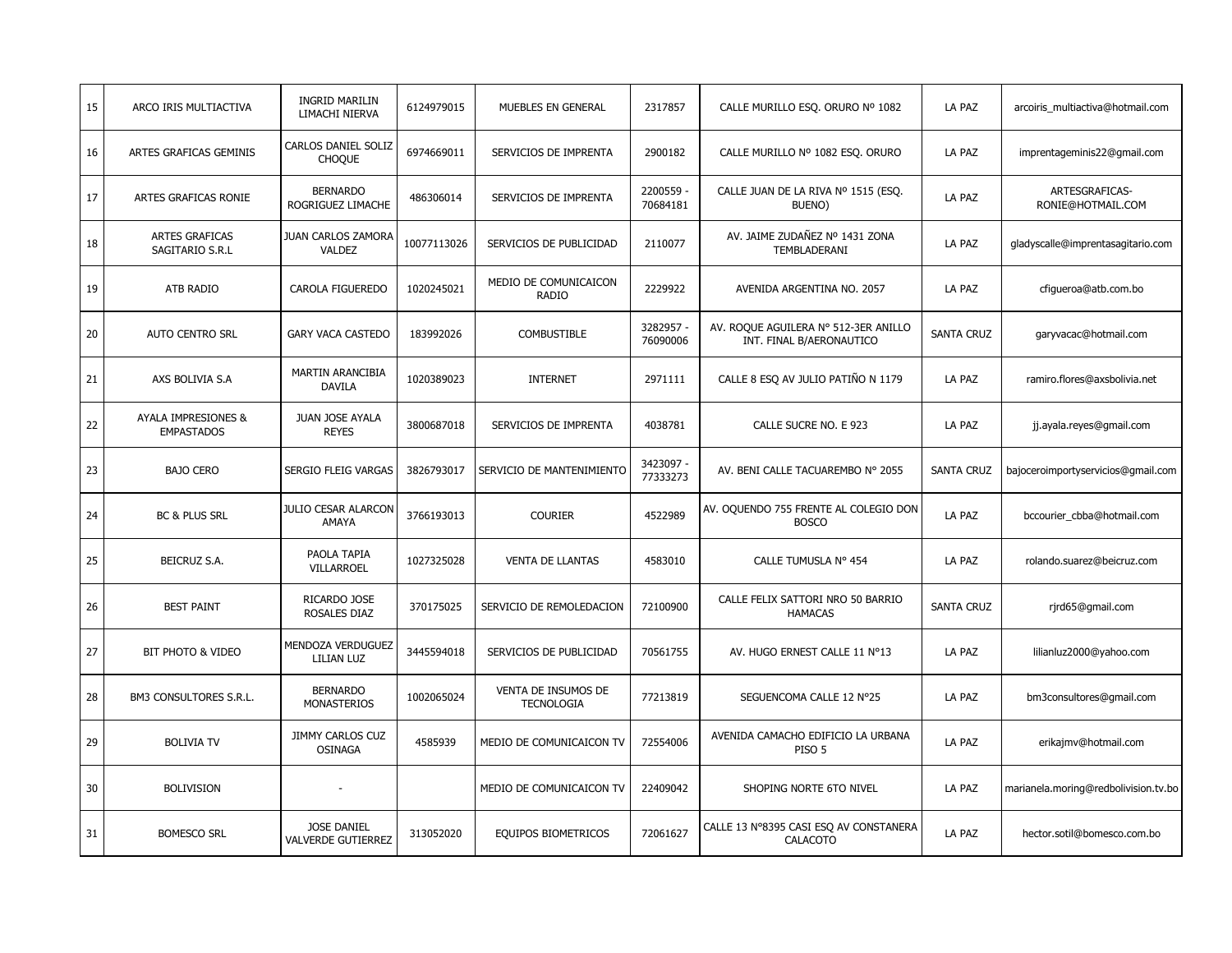| 15 | ARCO IRIS MULTIACTIVA                    | <b>INGRID MARILIN</b><br>LIMACHI NIERVA         | 6124979015  | MUEBLES EN GENERAL                       | 2317857               | CALLE MURILLO ESO. ORURO Nº 1082                                 | LA PAZ            | arcoiris_multiactiva@hotmail.com     |
|----|------------------------------------------|-------------------------------------------------|-------------|------------------------------------------|-----------------------|------------------------------------------------------------------|-------------------|--------------------------------------|
| 16 | ARTES GRAFICAS GEMINIS                   | CARLOS DANIEL SOLIZ<br><b>CHOQUE</b>            | 6974669011  | SERVICIOS DE IMPRENTA                    | 2900182               | CALLE MURILLO Nº 1082 ESQ. ORURO                                 | LA PAZ            | imprentageminis22@gmail.com          |
| 17 | ARTES GRAFICAS RONIE                     | <b>BERNARDO</b><br>ROGRIGUEZ LIMACHE            | 486306014   | SERVICIOS DE IMPRENTA                    | 2200559 -<br>70684181 | CALLE JUAN DE LA RIVA Nº 1515 (ESQ.<br>BUENO)                    | LA PAZ            | ARTESGRAFICAS-<br>RONIE@HOTMAIL.COM  |
| 18 | <b>ARTES GRAFICAS</b><br>SAGITARIO S.R.L | JUAN CARLOS ZAMORA<br>VALDEZ                    | 10077113026 | SERVICIOS DE PUBLICIDAD                  | 2110077               | AV. JAIME ZUDAÑEZ Nº 1431 ZONA<br>TEMBLADERANI                   | LA PAZ            | gladyscalle@imprentasagitario.com    |
| 19 | ATB RADIO                                | CAROLA FIGUEREDO                                | 1020245021  | MEDIO DE COMUNICAICON<br>RADIO           | 2229922               | AVENIDA ARGENTINA NO. 2057                                       | LA PAZ            | cfiqueroa@atb.com.bo                 |
| 20 | <b>AUTO CENTRO SRL</b>                   | <b>GARY VACA CASTEDO</b>                        | 183992026   | <b>COMBUSTIBLE</b>                       | 3282957 -<br>76090006 | AV. ROQUE AGUILERA Nº 512-3ER ANILLO<br>INT. FINAL B/AERONAUTICO | <b>SANTA CRUZ</b> | garyvacac@hotmail.com                |
| 21 | AXS BOLIVIA S.A                          | MARTIN ARANCIBIA<br><b>DAVILA</b>               | 1020389023  | <b>INTERNET</b>                          | 2971111               | CALLE 8 ESQ AV JULIO PATIÑO N 1179                               | LA PAZ            | ramiro.flores@axsbolivia.net         |
| 22 | AYALA IMPRESIONES &<br><b>EMPASTADOS</b> | JUAN JOSE AYALA<br><b>REYES</b>                 | 3800687018  | SERVICIOS DE IMPRENTA                    | 4038781               | CALLE SUCRE NO. E 923                                            | LA PAZ            | jj.ayala.reyes@gmail.com             |
| 23 | <b>BAJO CERO</b>                         | SERGIO FLEIG VARGAS                             | 3826793017  | SERVICIO DE MANTENIMIENTO                | 3423097 -<br>77333273 | AV. BENI CALLE TACUAREMBO Nº 2055                                | <b>SANTA CRUZ</b> | bajoceroimportyservicios@gmail.com   |
| 24 | BC & PLUS SRL                            | <b>JULIO CESAR ALARCON</b><br>AMAYA             | 3766193013  | <b>COURIER</b>                           | 4522989               | AV. OQUENDO 755 FRENTE AL COLEGIO DON<br><b>BOSCO</b>            | LA PAZ            | bccourier_cbba@hotmail.com           |
| 25 | BEICRUZ S.A.                             | PAOLA TAPIA<br>VILLARROEL                       | 1027325028  | <b>VENTA DE LLANTAS</b>                  | 4583010               | CALLE TUMUSLA Nº 454                                             | LA PAZ            | rolando.suarez@beicruz.com           |
| 26 | <b>BEST PAINT</b>                        | RICARDO JOSE<br>ROSALES DIAZ                    | 370175025   | SERVICIO DE REMOLEDACION                 | 72100900              | CALLE FELIX SATTORI NRO 50 BARRIO<br><b>HAMACAS</b>              | <b>SANTA CRUZ</b> | rjrd65@gmail.com                     |
| 27 | BIT PHOTO & VIDEO                        | MENDOZA VERDUGUEZ<br>LILIAN LUZ                 | 3445594018  | SERVICIOS DE PUBLICIDAD                  | 70561755              | AV. HUGO ERNEST CALLE 11 N°13                                    | LA PAZ            | lilianluz2000@yahoo.com              |
| 28 | BM3 CONSULTORES S.R.L.                   | <b>BERNARDO</b><br><b>MONASTERIOS</b>           | 1002065024  | VENTA DE INSUMOS DE<br><b>TECNOLOGIA</b> | 77213819              | SEGUENCOMA CALLE 12 Nº25                                         | LA PAZ            | bm3consultores@gmail.com             |
| 29 | <b>BOLIVIA TV</b>                        | <b>JIMMY CARLOS CUZ</b><br><b>OSINAGA</b>       | 4585939     | MEDIO DE COMUNICAICON TV                 | 72554006              | AVENIDA CAMACHO EDIFICIO LA URBANA<br>PISO <sub>5</sub>          | LA PAZ            | erikajmv@hotmail.com                 |
| 30 | <b>BOLIVISION</b>                        |                                                 |             | MEDIO DE COMUNICAICON TV                 | 22409042              | SHOPING NORTE 6TO NIVEL                                          | LA PAZ            | marianela.moring@redbolivision.tv.bo |
| 31 | <b>BOMESCO SRL</b>                       | <b>JOSE DANIEL</b><br><b>VALVERDE GUTIERREZ</b> | 313052020   | EQUIPOS BIOMETRICOS                      | 72061627              | CALLE 13 N°8395 CASI ESQ AV CONSTANERA<br>CALACOTO               | LA PAZ            | hector.sotil@bomesco.com.bo          |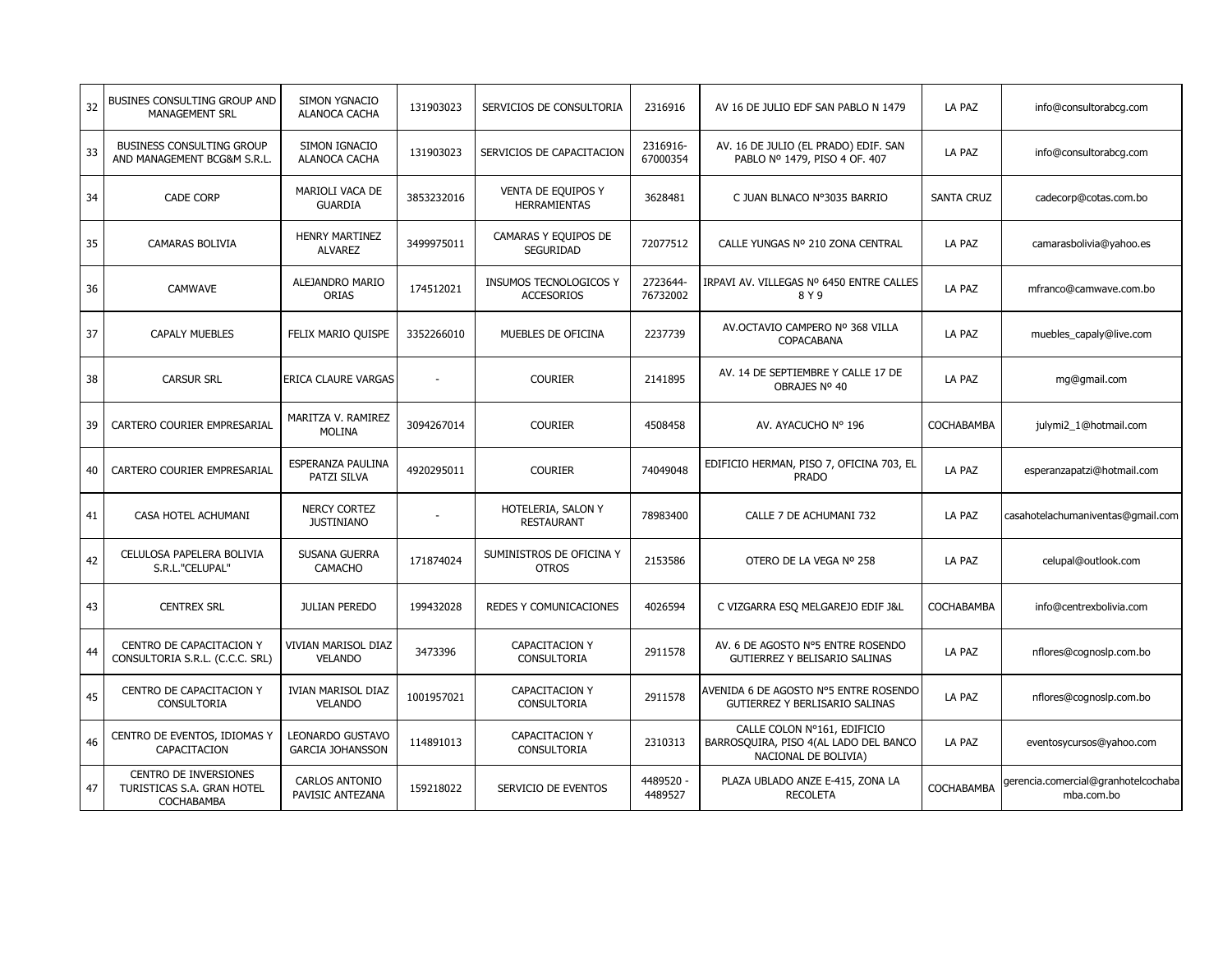| 32 | BUSINES CONSULTING GROUP AND<br><b>MANAGEMENT SRL</b>                    | <b>SIMON YGNACIO</b><br>ALANOCA CACHA       | 131903023      | SERVICIOS DE CONSULTORIA                    | 2316916              | AV 16 DE JULIO EDF SAN PABLO N 1479                                                          | LA PAZ            | info@consultorabcg.com                            |
|----|--------------------------------------------------------------------------|---------------------------------------------|----------------|---------------------------------------------|----------------------|----------------------------------------------------------------------------------------------|-------------------|---------------------------------------------------|
| 33 | <b>BUSINESS CONSULTING GROUP</b><br>AND MANAGEMENT BCG&M S.R.L.          | SIMON IGNACIO<br>ALANOCA CACHA              | 131903023      | SERVICIOS DE CAPACITACION                   | 2316916-<br>67000354 | AV. 16 DE JULIO (EL PRADO) EDIF. SAN<br>PABLO Nº 1479, PISO 4 OF. 407                        | LA PAZ            | info@consultorabcg.com                            |
| 34 | <b>CADE CORP</b>                                                         | MARIOLI VACA DE<br><b>GUARDIA</b>           | 3853232016     | VENTA DE EQUIPOS Y<br><b>HERRAMIENTAS</b>   | 3628481              | C JUAN BLNACO Nº3035 BARRIO                                                                  | <b>SANTA CRUZ</b> | cadecorp@cotas.com.bo                             |
| 35 | <b>CAMARAS BOLIVIA</b>                                                   | <b>HENRY MARTINEZ</b><br><b>ALVAREZ</b>     | 3499975011     | CAMARAS Y EQUIPOS DE<br>SEGURIDAD           | 72077512             | CALLE YUNGAS Nº 210 ZONA CENTRAL                                                             | LA PAZ            | camarasbolivia@yahoo.es                           |
| 36 | <b>CAMWAVE</b>                                                           | ALEJANDRO MARIO<br>ORIAS                    | 174512021      | INSUMOS TECNOLOGICOS Y<br><b>ACCESORIOS</b> | 2723644-<br>76732002 | IRPAVI AV. VILLEGAS Nº 6450 ENTRE CALLES<br>8 Y 9                                            | LA PAZ            | mfranco@camwave.com.bo                            |
| 37 | <b>CAPALY MUEBLES</b>                                                    | FELIX MARIO QUISPE                          | 3352266010     | MUEBLES DE OFICINA                          | 2237739              | AV.OCTAVIO CAMPERO Nº 368 VILLA<br>COPACABANA                                                | LA PAZ            | muebles capaly@live.com                           |
| 38 | <b>CARSUR SRL</b>                                                        | ERICA CLAURE VARGAS                         | $\overline{a}$ | <b>COURIER</b>                              | 2141895              | AV. 14 DE SEPTIEMBRE Y CALLE 17 DE<br>OBRAJES Nº 40                                          | LA PAZ            | mg@gmail.com                                      |
| 39 | CARTERO COURIER EMPRESARIAL                                              | MARITZA V. RAMIREZ<br><b>MOLINA</b>         | 3094267014     | <b>COURIER</b>                              | 4508458              | AV. AYACUCHO Nº 196                                                                          | <b>COCHABAMBA</b> | julymi2_1@hotmail.com                             |
| 40 | CARTERO COURIER EMPRESARIAL                                              | ESPERANZA PAULINA<br>PATZI SILVA            | 4920295011     | <b>COURIER</b>                              | 74049048             | EDIFICIO HERMAN, PISO 7, OFICINA 703, EL<br><b>PRADO</b>                                     | LA PAZ            | esperanzapatzi@hotmail.com                        |
| 41 | CASA HOTEL ACHUMANI                                                      | <b>NERCY CORTEZ</b><br><b>JUSTINIANO</b>    |                | HOTELERIA, SALON Y<br><b>RESTAURANT</b>     | 78983400             | CALLE 7 DE ACHUMANI 732                                                                      | LA PAZ            | casahotelachumaniventas@gmail.com                 |
| 42 | CELULOSA PAPELERA BOLIVIA<br>S.R.L."CELUPAL"                             | SUSANA GUERRA<br>CAMACHO                    | 171874024      | SUMINISTROS DE OFICINA Y<br><b>OTROS</b>    | 2153586              | OTERO DE LA VEGA Nº 258                                                                      | LA PAZ            | celupal@outlook.com                               |
| 43 | <b>CENTREX SRL</b>                                                       | <b>JULIAN PEREDO</b>                        | 199432028      | REDES Y COMUNICACIONES                      | 4026594              | C VIZGARRA ESQ MELGAREJO EDIF J&L                                                            | COCHABAMBA        | info@centrexbolivia.com                           |
| 44 | CENTRO DE CAPACITACION Y<br>CONSULTORIA S.R.L. (C.C.C. SRL)              | VIVIAN MARISOL DIAZ<br><b>VELANDO</b>       | 3473396        | <b>CAPACITACION Y</b><br>CONSULTORIA        | 2911578              | AV. 6 DE AGOSTO Nº5 ENTRE ROSENDO<br>GUTIERREZ Y BELISARIO SALINAS                           | LA PAZ            | nflores@cognoslp.com.bo                           |
| 45 | CENTRO DE CAPACITACION Y<br><b>CONSULTORIA</b>                           | IVIAN MARISOL DIAZ<br><b>VELANDO</b>        | 1001957021     | CAPACITACION Y<br><b>CONSULTORIA</b>        | 2911578              | AVENIDA 6 DE AGOSTO Nº5 ENTRE ROSENDO<br>GUTIERREZ Y BERLISARIO SALINAS                      | LA PAZ            | nflores@cognoslp.com.bo                           |
| 46 | CENTRO DE EVENTOS, IDIOMAS Y<br>CAPACITACION                             | LEONARDO GUSTAVO<br><b>GARCIA JOHANSSON</b> | 114891013      | CAPACITACION Y<br>CONSULTORIA               | 2310313              | CALLE COLON Nº161, EDIFICIO<br>BARROSQUIRA, PISO 4(AL LADO DEL BANCO<br>NACIONAL DE BOLIVIA) | LA PAZ            | eventosycursos@yahoo.com                          |
| 47 | <b>CENTRO DE INVERSIONES</b><br>TURISTICAS S.A. GRAN HOTEL<br>COCHABAMBA | <b>CARLOS ANTONIO</b><br>PAVISIC ANTEZANA   | 159218022      | SERVICIO DE EVENTOS                         | 4489520 -<br>4489527 | PLAZA UBLADO ANZE E-415, ZONA LA<br><b>RECOLETA</b>                                          | COCHABAMBA        | gerencia.comercial@granhotelcochaba<br>mba.com.bo |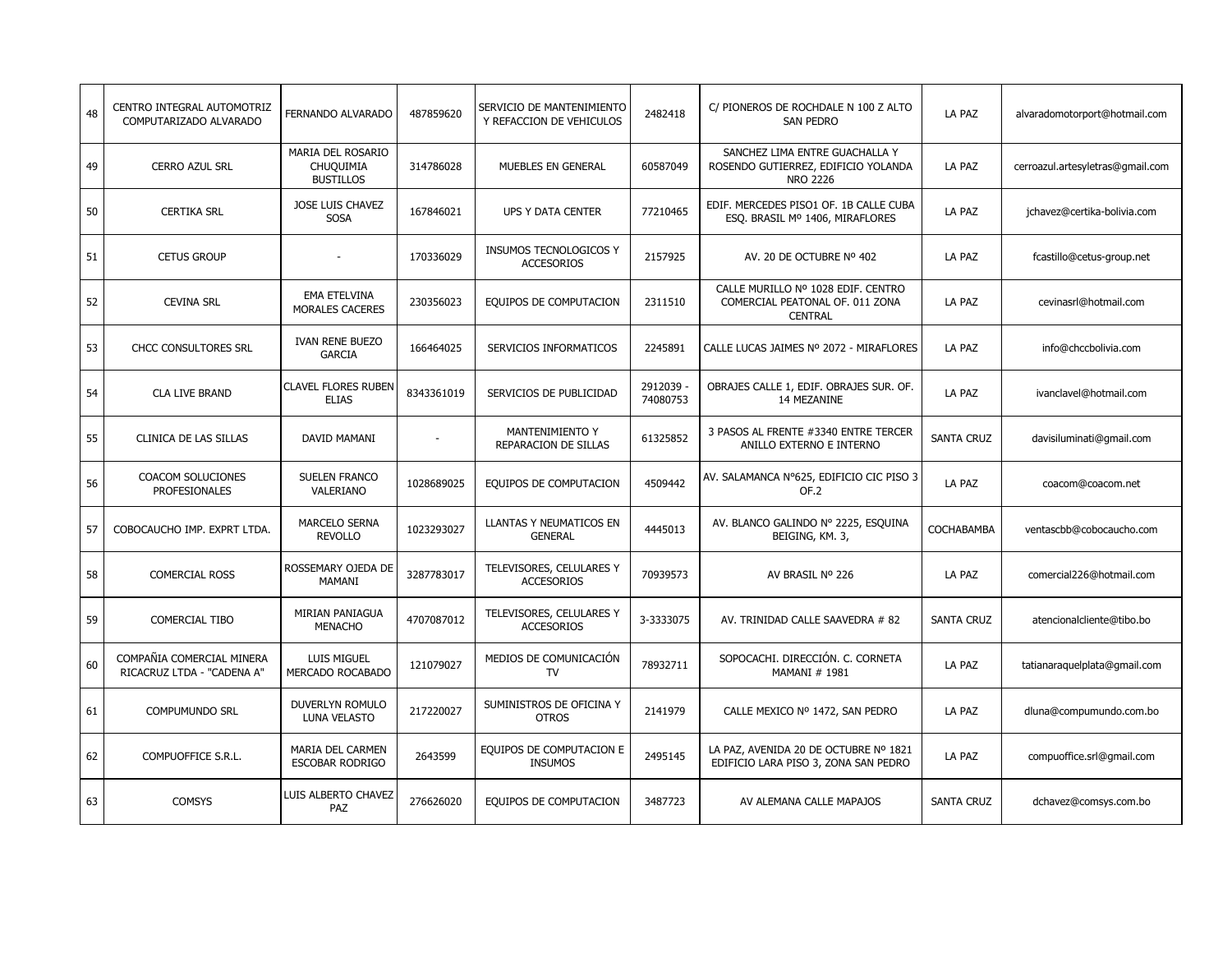| 48 | CENTRO INTEGRAL AUTOMOTRIZ<br>COMPUTARIZADO ALVARADO    | FERNANDO ALVARADO                                  | 487859620  | SERVICIO DE MANTENIMIENTO<br>Y REFACCION DE VEHICULOS | 2482418             | C/ PIONEROS DE ROCHDALE N 100 Z ALTO<br>SAN PEDRO                                       | LA PAZ            | alvaradomotorport@hotmail.com    |
|----|---------------------------------------------------------|----------------------------------------------------|------------|-------------------------------------------------------|---------------------|-----------------------------------------------------------------------------------------|-------------------|----------------------------------|
| 49 | <b>CERRO AZUL SRL</b>                                   | MARIA DEL ROSARIO<br>CHUQUIMIA<br><b>BUSTILLOS</b> | 314786028  | MUEBLES EN GENERAL                                    | 60587049            | SANCHEZ LIMA ENTRE GUACHALLA Y<br>ROSENDO GUTIERREZ, EDIFICIO YOLANDA<br>NRO 2226       | LA PAZ            | cerroazul.artesyletras@gmail.com |
| 50 | <b>CERTIKA SRL</b>                                      | JOSE LUIS CHAVEZ<br><b>SOSA</b>                    | 167846021  | UPS Y DATA CENTER                                     | 77210465            | EDIF. MERCEDES PISO1 OF. 1B CALLE CUBA<br>ESO. BRASIL Mº 1406, MIRAFLORES               | LA PAZ            | jchavez@certika-bolivia.com      |
| 51 | <b>CETUS GROUP</b>                                      |                                                    | 170336029  | INSUMOS TECNOLOGICOS Y<br><b>ACCESORIOS</b>           | 2157925             | AV. 20 DE OCTUBRE Nº 402                                                                | LA PAZ            | fcastillo@cetus-group.net        |
| 52 | CEVINA SRL                                              | EMA ETELVINA<br>MORALES CACERES                    | 230356023  | EQUIPOS DE COMPUTACION                                | 2311510             | CALLE MURILLO Nº 1028 EDIF. CENTRO<br>COMERCIAL PEATONAL OF. 011 ZONA<br><b>CENTRAL</b> | LA PAZ            | cevinasrl@hotmail.com            |
| 53 | <b>CHCC CONSULTORES SRL</b>                             | <b>IVAN RENE BUEZO</b><br><b>GARCIA</b>            | 166464025  | SERVICIOS INFORMATICOS                                | 2245891             | CALLE LUCAS JAIMES Nº 2072 - MIRAFLORES                                                 | LA PAZ            | info@chccbolivia.com             |
| 54 | <b>CLA LIVE BRAND</b>                                   | <b>CLAVEL FLORES RUBEN</b><br><b>ELIAS</b>         | 8343361019 | SERVICIOS DE PUBLICIDAD                               | 2912039<br>74080753 | OBRAJES CALLE 1, EDIF. OBRAJES SUR. OF.<br>14 MEZANINE                                  | LA PAZ            | ivanclavel@hotmail.com           |
| 55 | CLINICA DE LAS SILLAS                                   | DAVID MAMANI                                       |            | MANTENIMIENTO Y<br>REPARACION DE SILLAS               | 61325852            | 3 PASOS AL FRENTE #3340 ENTRE TERCER<br>ANILLO EXTERNO E INTERNO                        | <b>SANTA CRUZ</b> | davisiluminati@gmail.com         |
| 56 | <b>COACOM SOLUCIONES</b><br>PROFESIONALES               | <b>SUELEN FRANCO</b><br>VALERIANO                  | 1028689025 | EQUIPOS DE COMPUTACION                                | 4509442             | AV. SALAMANCA Nº625, EDIFICIO CIC PISO 3<br>OF.2                                        | LA PAZ            | coacom@coacom.net                |
| 57 | COBOCAUCHO IMP. EXPRT LTDA.                             | <b>MARCELO SERNA</b><br><b>REVOLLO</b>             | 1023293027 | LLANTAS Y NEUMATICOS EN<br><b>GENERAL</b>             | 4445013             | AV. BLANCO GALINDO Nº 2225, ESQUINA<br>BEIGING, KM. 3,                                  | COCHABAMBA        | ventascbb@cobocaucho.com         |
| 58 | <b>COMERCIAL ROSS</b>                                   | ROSSEMARY OJEDA DE<br>MAMANI                       | 3287783017 | TELEVISORES, CELULARES Y<br><b>ACCESORIOS</b>         | 70939573            | AV BRASIL Nº 226                                                                        | LA PAZ            | comercial226@hotmail.com         |
| 59 | <b>COMERCIAL TIBO</b>                                   | MIRIAN PANIAGUA<br><b>MENACHO</b>                  | 4707087012 | TELEVISORES, CELULARES Y<br><b>ACCESORIOS</b>         | 3-3333075           | AV. TRINIDAD CALLE SAAVEDRA # 82                                                        | <b>SANTA CRUZ</b> | atencionalcliente@tibo.bo        |
| 60 | COMPAÑIA COMERCIAL MINERA<br>RICACRUZ LTDA - "CADENA A" | LUIS MIGUEL<br>MERCADO ROCABADO                    | 121079027  | MEDIOS DE COMUNICACIÓN<br>TV                          | 78932711            | SOPOCACHI, DIRECCIÓN, C. CORNETA<br>MAMANI # 1981                                       | LA PAZ            | tatianaraquelplata@gmail.com     |
| 61 | <b>COMPUMUNDO SRL</b>                                   | DUVERLYN ROMULO<br><b>LUNA VELASTO</b>             | 217220027  | SUMINISTROS DE OFICINA Y<br><b>OTROS</b>              | 2141979             | CALLE MEXICO Nº 1472, SAN PEDRO                                                         | LA PAZ            | dluna@compumundo.com.bo          |
| 62 | COMPUOFFICE S.R.L.                                      | MARIA DEL CARMEN<br><b>ESCOBAR RODRIGO</b>         | 2643599    | EQUIPOS DE COMPUTACION E<br><b>INSUMOS</b>            | 2495145             | LA PAZ, AVENIDA 20 DE OCTUBRE Nº 1821<br>EDIFICIO LARA PISO 3, ZONA SAN PEDRO           | LA PAZ            | compuoffice.srl@gmail.com        |
| 63 | <b>COMSYS</b>                                           | LUIS ALBERTO CHAVEZ<br>PAZ                         | 276626020  | EQUIPOS DE COMPUTACION                                | 3487723             | AV ALEMANA CALLE MAPAJOS                                                                | <b>SANTA CRUZ</b> | dchavez@comsys.com.bo            |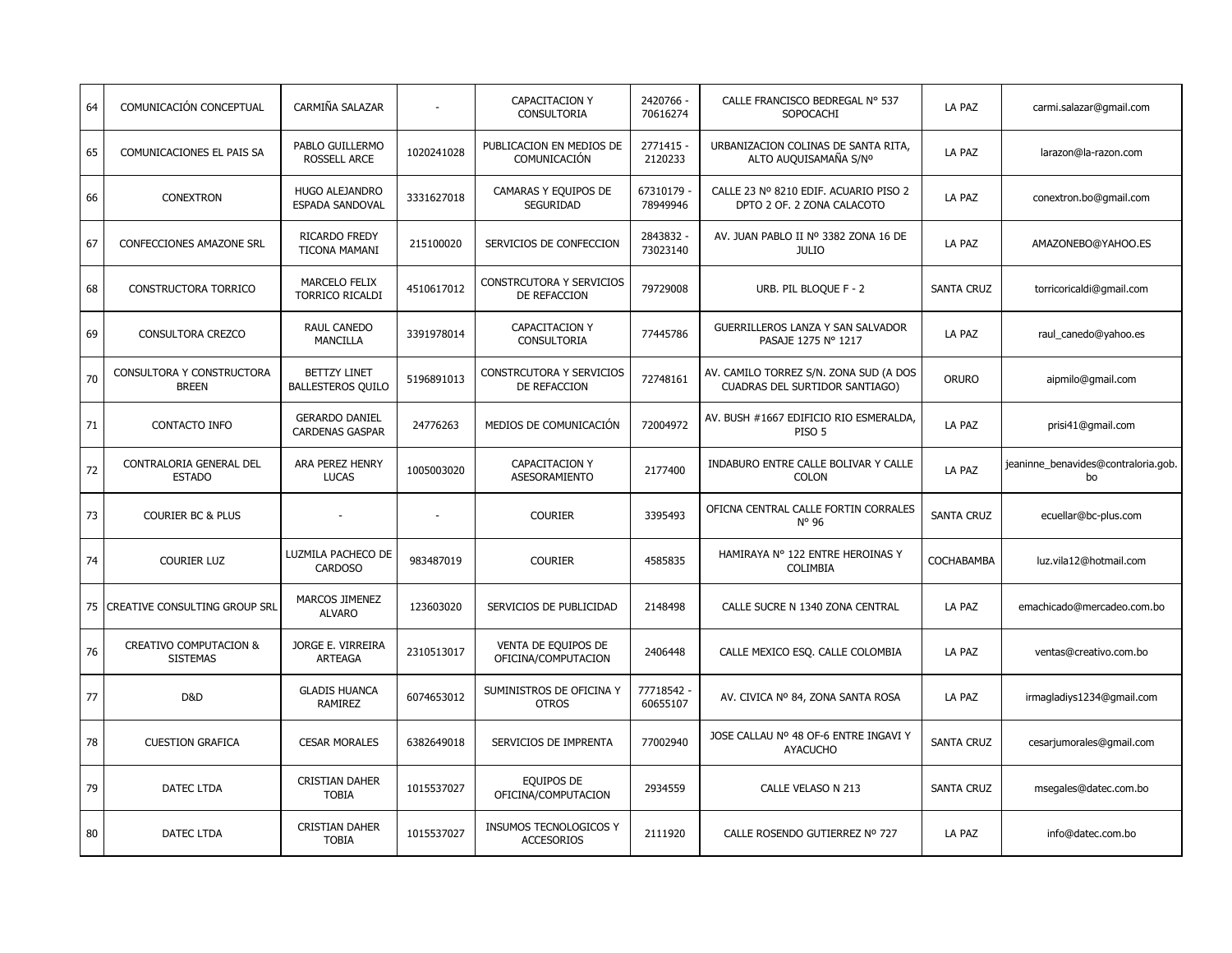| 64 | COMUNICACIÓN CONCEPTUAL                   | CARMIÑA SALAZAR                                 |            | CAPACITACION Y<br><b>CONSULTORIA</b>        | 2420766 -<br>70616274  | CALLE FRANCISCO BEDREGAL Nº 537<br>SOPOCACHI                             | LA PAZ            | carmi.salazar@gmail.com                   |
|----|-------------------------------------------|-------------------------------------------------|------------|---------------------------------------------|------------------------|--------------------------------------------------------------------------|-------------------|-------------------------------------------|
| 65 | COMUNICACIONES EL PAIS SA                 | PABLO GUILLERMO<br><b>ROSSELL ARCE</b>          | 1020241028 | PUBLICACION EN MEDIOS DE<br>COMUNICACIÓN    | 2771415<br>2120233     | URBANIZACION COLINAS DE SANTA RITA,<br>ALTO AUQUISAMAÑA S/Nº             | LA PAZ            | larazon@la-razon.com                      |
| 66 | <b>CONEXTRON</b>                          | <b>HUGO ALEJANDRO</b><br>ESPADA SANDOVAL        | 3331627018 | CAMARAS Y EQUIPOS DE<br>SEGURIDAD           | 67310179<br>78949946   | CALLE 23 Nº 8210 EDIF. ACUARIO PISO 2<br>DPTO 2 OF. 2 ZONA CALACOTO      | LA PAZ            | conextron.bo@gmail.com                    |
| 67 | CONFECCIONES AMAZONE SRL                  | RICARDO FREDY<br><b>TICONA MAMANI</b>           | 215100020  | SERVICIOS DE CONFECCION                     | 2843832 -<br>73023140  | AV. JUAN PABLO II Nº 3382 ZONA 16 DE<br><b>JULIO</b>                     | LA PAZ            | AMAZONEBO@YAHOO.ES                        |
| 68 | CONSTRUCTORA TORRICO                      | <b>MARCELO FELIX</b><br><b>TORRICO RICALDI</b>  | 4510617012 | CONSTRCUTORA Y SERVICIOS<br>DE REFACCION    | 79729008               | URB. PIL BLOQUE F - 2                                                    | <b>SANTA CRUZ</b> | torricoricaldi@gmail.com                  |
| 69 | CONSULTORA CREZCO                         | <b>RAUL CANEDO</b><br><b>MANCILLA</b>           | 3391978014 | <b>CAPACITACION Y</b><br><b>CONSULTORIA</b> | 77445786               | GUERRILLEROS LANZA Y SAN SALVADOR<br>PASAJE 1275 N° 1217                 | LA PAZ            | raul canedo@yahoo.es                      |
| 70 | CONSULTORA Y CONSTRUCTORA<br><b>BREEN</b> | <b>BETTZY LINET</b><br><b>BALLESTEROS QUILO</b> | 5196891013 | CONSTRCUTORA Y SERVICIOS<br>DE REFACCION    | 72748161               | AV. CAMILO TORREZ S/N. ZONA SUD (A DOS<br>CUADRAS DEL SURTIDOR SANTIAGO) | <b>ORURO</b>      | aipmilo@gmail.com                         |
| 71 | CONTACTO INFO                             | <b>GERARDO DANIEL</b><br><b>CARDENAS GASPAR</b> | 24776263   | MEDIOS DE COMUNICACIÓN                      | 72004972               | AV. BUSH #1667 EDIFICIO RIO ESMERALDA,<br>PISO 5                         | LA PAZ            | prisi41@gmail.com                         |
| 72 | CONTRALORIA GENERAL DEL<br><b>ESTADO</b>  | ARA PEREZ HENRY<br><b>LUCAS</b>                 | 1005003020 | CAPACITACION Y<br><b>ASESORAMIENTO</b>      | 2177400                | INDABURO ENTRE CALLE BOLIVAR Y CALLE<br><b>COLON</b>                     | LA PAZ            | jeaninne benavides@contraloria.gob.<br>bo |
| 73 | COURIER BC & PLUS                         |                                                 |            | <b>COURIER</b>                              | 3395493                | OFICNA CENTRAL CALLE FORTIN CORRALES<br>$N^{\circ}$ 96                   | <b>SANTA CRUZ</b> | ecuellar@bc-plus.com                      |
| 74 | <b>COURIER LUZ</b>                        | LUZMILA PACHECO DE<br><b>CARDOSO</b>            | 983487019  | <b>COURIER</b>                              | 4585835                | HAMIRAYA Nº 122 ENTRE HEROINAS Y<br>COLIMBIA                             | COCHABAMBA        | luz.vila12@hotmail.com                    |
| 75 | CREATIVE CONSULTING GROUP SRL             | MARCOS JIMENEZ<br><b>ALVARO</b>                 | 123603020  | SERVICIOS DE PUBLICIDAD                     | 2148498                | CALLE SUCRE N 1340 ZONA CENTRAL                                          | LA PAZ            | emachicado@mercadeo.com.bo                |
| 76 | CREATIVO COMPUTACION &<br><b>SISTEMAS</b> | JORGE E. VIRREIRA<br>ARTEAGA                    | 2310513017 | VENTA DE EQUIPOS DE<br>OFICINA/COMPUTACION  | 2406448                | CALLE MEXICO ESQ. CALLE COLOMBIA                                         | LA PAZ            | ventas@creativo.com.bo                    |
| 77 | D&D                                       | <b>GLADIS HUANCA</b><br>RAMIREZ                 | 6074653012 | SUMINISTROS DE OFICINA Y<br><b>OTROS</b>    | 77718542 -<br>60655107 | AV. CIVICA Nº 84, ZONA SANTA ROSA                                        | LA PAZ            | irmagladiys1234@gmail.com                 |
| 78 | <b>CUESTION GRAFICA</b>                   | <b>CESAR MORALES</b>                            | 6382649018 | SERVICIOS DE IMPRENTA                       | 77002940               | JOSE CALLAU Nº 48 OF-6 ENTRE INGAVI Y<br><b>AYACUCHO</b>                 | <b>SANTA CRUZ</b> | cesarjumorales@qmail.com                  |
| 79 | DATEC LTDA                                | <b>CRISTIAN DAHER</b><br><b>TOBIA</b>           | 1015537027 | EQUIPOS DE<br>OFICINA/COMPUTACION           | 2934559                | CALLE VELASO N 213                                                       | <b>SANTA CRUZ</b> | msegales@datec.com.bo                     |
| 80 | DATEC LTDA                                | <b>CRISTIAN DAHER</b><br><b>TOBIA</b>           | 1015537027 | INSUMOS TECNOLOGICOS Y<br><b>ACCESORIOS</b> | 2111920                | CALLE ROSENDO GUTIERREZ Nº 727                                           | LA PAZ            | info@datec.com.bo                         |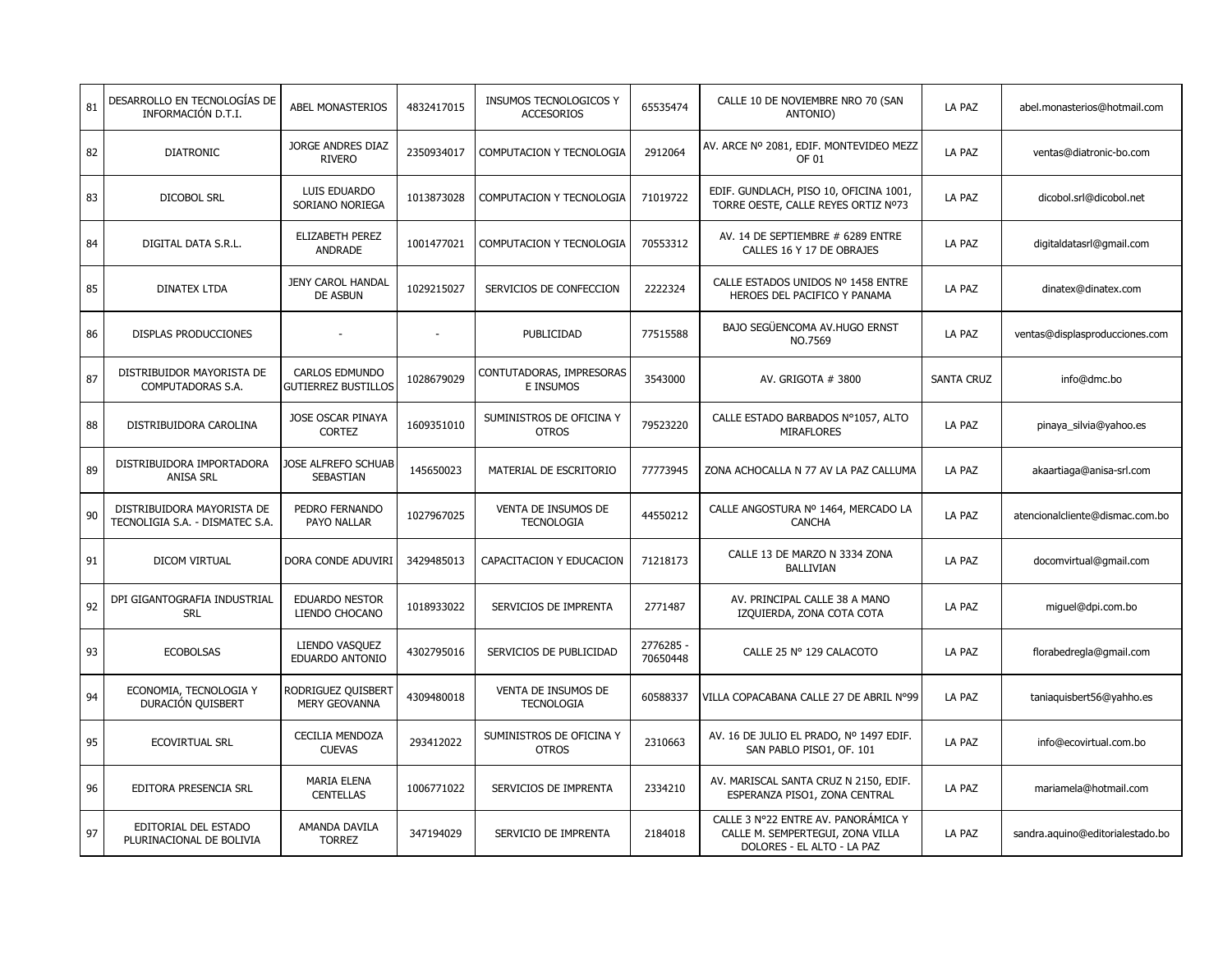| 81 | DESARROLLO EN TECNOLOGÍAS DE<br>INFORMACIÓN D.T.I.            | ABEL MONASTERIOS                                    | 4832417015 | INSUMOS TECNOLOGICOS Y<br><b>ACCESORIOS</b> | 65535474              | CALLE 10 DE NOVIEMBRE NRO 70 (SAN<br>ANTONIO)                                                         | LA PAZ            | abel.monasterios@hotmail.com     |
|----|---------------------------------------------------------------|-----------------------------------------------------|------------|---------------------------------------------|-----------------------|-------------------------------------------------------------------------------------------------------|-------------------|----------------------------------|
| 82 | <b>DIATRONIC</b>                                              | JORGE ANDRES DIAZ<br><b>RIVERO</b>                  | 2350934017 | COMPUTACION Y TECNOLOGIA                    | 2912064               | AV. ARCE Nº 2081, EDIF. MONTEVIDEO MEZZ<br>OF 01                                                      | LA PAZ            | ventas@diatronic-bo.com          |
| 83 | <b>DICOBOL SRL</b>                                            | LUIS EDUARDO<br>SORIANO NORIEGA                     | 1013873028 | COMPUTACION Y TECNOLOGIA                    | 71019722              | EDIF. GUNDLACH, PISO 10, OFICINA 1001,<br>TORRE OESTE, CALLE REYES ORTIZ Nº73                         | LA PAZ            | dicobol.srl@dicobol.net          |
| 84 | DIGITAL DATA S.R.L.                                           | ELIZABETH PEREZ<br>ANDRADE                          | 1001477021 | COMPUTACION Y TECNOLOGIA                    | 70553312              | AV. 14 DE SEPTIEMBRE # 6289 ENTRE<br>CALLES 16 Y 17 DE OBRAJES                                        | LA PAZ            | digitaldatasrl@gmail.com         |
| 85 | <b>DINATEX LTDA</b>                                           | <b>JENY CAROL HANDAL</b><br><b>DE ASBUN</b>         | 1029215027 | SERVICIOS DE CONFECCION                     | 2222324               | CALLE ESTADOS UNIDOS Nº 1458 ENTRE<br>HEROES DEL PACIFICO Y PANAMA                                    | LA PAZ            | dinatex@dinatex.com              |
| 86 | DISPLAS PRODUCCIONES                                          |                                                     |            | PUBLICIDAD                                  | 77515588              | <b>BAJO SEGÜENCOMA AV.HUGO ERNST</b><br>NO.7569                                                       | LA PAZ            | ventas@displasproducciones.com   |
| 87 | DISTRIBUIDOR MAYORISTA DE<br>COMPUTADORAS S.A.                | <b>CARLOS EDMUNDO</b><br><b>GUTIERREZ BUSTILLOS</b> | 1028679029 | CONTUTADORAS, IMPRESORAS<br>E INSUMOS       | 3543000               | AV. GRIGOTA # 3800                                                                                    | <b>SANTA CRUZ</b> | info@dmc.bo                      |
| 88 | DISTRIBUIDORA CAROLINA                                        | JOSE OSCAR PINAYA<br><b>CORTEZ</b>                  | 1609351010 | SUMINISTROS DE OFICINA Y<br><b>OTROS</b>    | 79523220              | CALLE ESTADO BARBADOS Nº1057, ALTO<br><b>MIRAFLORES</b>                                               | LA PAZ            | pinaya_silvia@yahoo.es           |
| 89 | DISTRIBUIDORA IMPORTADORA<br><b>ANISA SRL</b>                 | JOSE ALFREFO SCHUAB<br><b>SEBASTIAN</b>             | 145650023  | MATERIAL DE ESCRITORIO                      | 77773945              | ZONA ACHOCALLA N 77 AV LA PAZ CALLUMA                                                                 | LA PAZ            | akaartiaga@anisa-srl.com         |
| 90 | DISTRIBUIDORA MAYORISTA DE<br>TECNOLIGIA S.A. - DISMATEC S.A. | PEDRO FERNANDO<br>PAYO NALLAR                       | 1027967025 | VENTA DE INSUMOS DE<br><b>TECNOLOGIA</b>    | 44550212              | CALLE ANGOSTURA Nº 1464, MERCADO LA<br><b>CANCHA</b>                                                  | LA PAZ            | atencionalcliente@dismac.com.bo  |
| 91 | DICOM VIRTUAL                                                 | DORA CONDE ADUVIRI                                  | 3429485013 | CAPACITACION Y EDUCACION                    | 71218173              | CALLE 13 DE MARZO N 3334 ZONA<br><b>BALLIVIAN</b>                                                     | LA PAZ            | docomvirtual@gmail.com           |
| 92 | DPI GIGANTOGRAFIA INDUSTRIAL<br><b>SRL</b>                    | <b>EDUARDO NESTOR</b><br>LIENDO CHOCANO             | 1018933022 | SERVICIOS DE IMPRENTA                       | 2771487               | AV. PRINCIPAL CALLE 38 A MANO<br>IZQUIERDA, ZONA COTA COTA                                            | LA PAZ            | miguel@dpi.com.bo                |
| 93 | <b>ECOBOLSAS</b>                                              | LIENDO VASQUEZ<br>EDUARDO ANTONIO                   | 4302795016 | SERVICIOS DE PUBLICIDAD                     | 2776285 -<br>70650448 | CALLE 25 Nº 129 CALACOTO                                                                              | LA PAZ            | florabedregla@gmail.com          |
| 94 | ECONOMIA, TECNOLOGIA Y<br>DURACIÓN QUISBERT                   | RODRIGUEZ QUISBERT<br>MERY GEOVANNA                 | 4309480018 | VENTA DE INSUMOS DE<br><b>TECNOLOGIA</b>    | 60588337              | VILLA COPACABANA CALLE 27 DE ABRIL N°99                                                               | LA PAZ            | taniaquisbert56@yahho.es         |
| 95 | <b>ECOVIRTUAL SRL</b>                                         | <b>CECILIA MENDOZA</b><br><b>CUEVAS</b>             | 293412022  | SUMINISTROS DE OFICINA Y<br><b>OTROS</b>    | 2310663               | AV. 16 DE JULIO EL PRADO, Nº 1497 EDIF.<br>SAN PABLO PISO1, OF. 101                                   | LA PAZ            | info@ecovirtual.com.bo           |
| 96 | EDITORA PRESENCIA SRL                                         | <b>MARIA ELENA</b><br><b>CENTELLAS</b>              | 1006771022 | SERVICIOS DE IMPRENTA                       | 2334210               | AV. MARISCAL SANTA CRUZ N 2150, EDIF.<br>ESPERANZA PISO1, ZONA CENTRAL                                | LA PAZ            | mariamela@hotmail.com            |
| 97 | EDITORIAL DEL ESTADO<br>PLURINACIONAL DE BOLIVIA              | AMANDA DAVILA<br><b>TORREZ</b>                      | 347194029  | SERVICIO DE IMPRENTA                        | 2184018               | CALLE 3 Nº22 ENTRE AV. PANORAMICA Y<br>CALLE M. SEMPERTEGUI, ZONA VILLA<br>DOLORES - EL ALTO - LA PAZ | LA PAZ            | sandra.aquino@editorialestado.bo |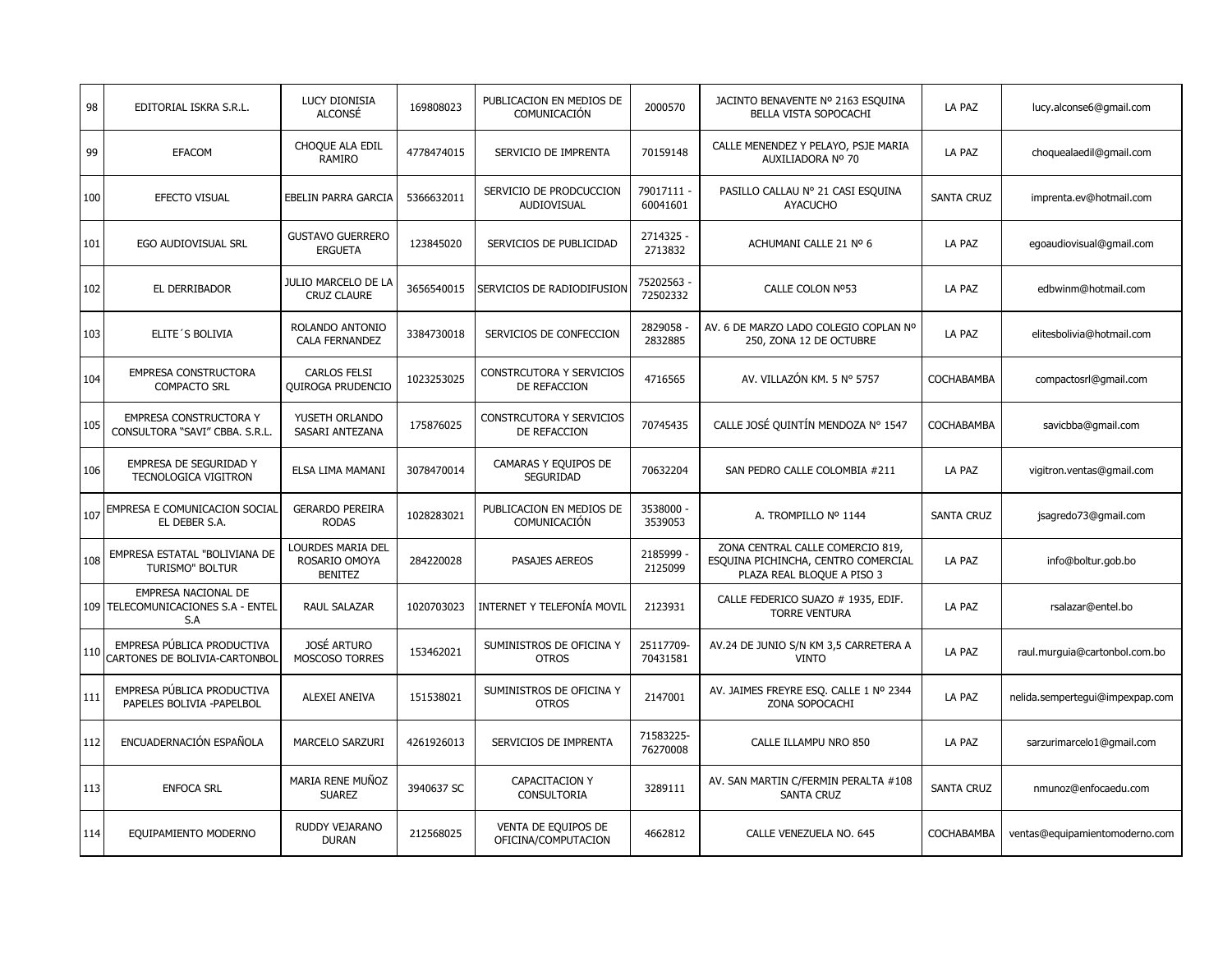| 98  | EDITORIAL ISKRA S.R.L.                                           | LUCY DIONISIA<br><b>ALCONSÉ</b>                             | 169808023  | PUBLICACION EN MEDIOS DE<br>COMUNICACIÓN        | 2000570                | JACINTO BENAVENTE Nº 2163 ESQUINA<br>BELLA VISTA SOPOCACHI                                            | LA PAZ            | lucy.alconse6@gmail.com         |
|-----|------------------------------------------------------------------|-------------------------------------------------------------|------------|-------------------------------------------------|------------------------|-------------------------------------------------------------------------------------------------------|-------------------|---------------------------------|
| 99  | EFACOM                                                           | CHOQUE ALA EDIL<br><b>RAMIRO</b>                            | 4778474015 | SERVICIO DE IMPRENTA                            | 70159148               | CALLE MENENDEZ Y PELAYO, PSJE MARIA<br>AUXILIADORA Nº 70                                              | LA PAZ            | choquealaedil@qmail.com         |
| 100 | EFECTO VISUAL                                                    | <b>EBELIN PARRA GARCIA</b>                                  | 5366632011 | SERVICIO DE PRODCUCCION<br>AUDIOVISUAL          | 79017111 -<br>60041601 | PASILLO CALLAU Nº 21 CASI ESQUINA<br><b>AYACUCHO</b>                                                  | <b>SANTA CRUZ</b> | imprenta.ev@hotmail.com         |
| 101 | EGO AUDIOVISUAL SRL                                              | <b>GUSTAVO GUERRERO</b><br><b>ERGUETA</b>                   | 123845020  | SERVICIOS DE PUBLICIDAD                         | 2714325 -<br>2713832   | ACHUMANI CALLE 21 Nº 6                                                                                | LA PAZ            | egoaudiovisual@gmail.com        |
| 102 | EL DERRIBADOR                                                    | JULIO MARCELO DE LA<br><b>CRUZ CLAURE</b>                   | 3656540015 | SERVICIOS DE RADIODIFUSION                      | 75202563<br>72502332   | CALLE COLON Nº53                                                                                      | LA PAZ            | edbwinm@hotmail.com             |
| 103 | ELITE'S BOLIVIA                                                  | ROLANDO ANTONIO<br>CALA FERNANDEZ                           | 3384730018 | SERVICIOS DE CONFECCION                         | 2829058<br>2832885     | AV. 6 DE MARZO LADO COLEGIO COPLAN Nº<br>250, ZONA 12 DE OCTUBRE                                      | LA PAZ            | elitesbolivia@hotmail.com       |
| 104 | EMPRESA CONSTRUCTORA<br><b>COMPACTO SRL</b>                      | <b>CARLOS FELSI</b><br><b>QUIROGA PRUDENCIO</b>             | 1023253025 | CONSTRCUTORA Y SERVICIOS<br>DE REFACCION        | 4716565                | AV. VILLAZÓN KM. 5 Nº 5757                                                                            | COCHABAMBA        | compactosrl@gmail.com           |
| 105 | <b>EMPRESA CONSTRUCTORA Y</b><br>CONSULTORA "SAVI" CBBA, S.R.L.  | YUSETH ORLANDO<br>SASARI ANTEZANA                           | 175876025  | <b>CONSTRCUTORA Y SERVICIOS</b><br>DE REFACCION | 70745435               | CALLE JOSÉ QUINTÍN MENDOZA Nº 1547                                                                    | COCHABAMBA        | savicbba@gmail.com              |
| 106 | EMPRESA DE SEGURIDAD Y<br>TECNOLOGICA VIGITRON                   | ELSA LIMA MAMANI                                            | 3078470014 | CAMARAS Y EQUIPOS DE<br>SEGURIDAD               | 70632204               | SAN PEDRO CALLE COLOMBIA #211                                                                         | LA PAZ            | vigitron.ventas@gmail.com       |
| 107 | EMPRESA E COMUNICACION SOCIAL<br>EL DEBER S.A.                   | <b>GERARDO PEREIRA</b><br><b>RODAS</b>                      | 1028283021 | PUBLICACION EN MEDIOS DE<br>COMUNICACIÓN        | 3538000 -<br>3539053   | A. TROMPILLO Nº 1144                                                                                  | <b>SANTA CRUZ</b> | jsagredo73@gmail.com            |
| 108 | EMPRESA ESTATAL "BOLIVIANA DE<br><b>TURISMO" BOLTUR</b>          | <b>LOURDES MARIA DEL</b><br>ROSARIO OMOYA<br><b>BENITEZ</b> | 284220028  | PASAJES AEREOS                                  | 2185999<br>2125099     | ZONA CENTRAL CALLE COMERCIO 819,<br>ESQUINA PICHINCHA, CENTRO COMERCIAL<br>PLAZA REAL BLOQUE A PISO 3 | LA PAZ            | info@boltur.gob.bo              |
|     | EMPRESA NACIONAL DE<br>109 TELECOMUNICACIONES S.A - ENTEL<br>S.A | <b>RAUL SALAZAR</b>                                         | 1020703023 | INTERNET Y TELEFONÍA MOVIL                      | 2123931                | CALLE FEDERICO SUAZO # 1935, EDIF.<br><b>TORRE VENTURA</b>                                            | LA PAZ            | rsalazar@entel.bo               |
| 110 | EMPRESA PÚBLICA PRODUCTIVA<br>CARTONES DE BOLIVIA-CARTONBOL      | JOSÉ ARTURO<br>MOSCOSO TORRES                               | 153462021  | SUMINISTROS DE OFICINA Y<br><b>OTROS</b>        | 25117709-<br>70431581  | AV.24 DE JUNIO S/N KM 3,5 CARRETERA A<br><b>VINTO</b>                                                 | LA PAZ            | raul.murguia@cartonbol.com.bo   |
| 111 | EMPRESA PÚBLICA PRODUCTIVA<br>PAPELES BOLIVIA -PAPELBOL          | <b>ALEXEI ANEIVA</b>                                        | 151538021  | SUMINISTROS DE OFICINA Y<br><b>OTROS</b>        | 2147001                | AV. JAIMES FREYRE ESO. CALLE 1 Nº 2344<br>ZONA SOPOCACHI                                              | LA PAZ            | nelida.sempertegui@impexpap.com |
| 112 | ENCUADERNACIÓN ESPAÑOLA                                          | MARCELO SARZURI                                             | 4261926013 | SERVICIOS DE IMPRENTA                           | 71583225-<br>76270008  | CALLE ILLAMPU NRO 850                                                                                 | LA PAZ            | sarzurimarcelo1@gmail.com       |
| 113 | <b>ENFOCA SRL</b>                                                | MARIA RENE MUÑOZ<br><b>SUAREZ</b>                           | 3940637 SC | CAPACITACION Y<br><b>CONSULTORIA</b>            | 3289111                | AV. SAN MARTIN C/FERMIN PERALTA #108<br><b>SANTA CRUZ</b>                                             | <b>SANTA CRUZ</b> | nmunoz@enfocaedu.com            |
| 114 | EQUIPAMIENTO MODERNO                                             | RUDDY VEJARANO<br><b>DURAN</b>                              | 212568025  | VENTA DE EQUIPOS DE<br>OFICINA/COMPUTACION      | 4662812                | CALLE VENEZUELA NO. 645                                                                               | COCHABAMBA        | ventas@equipamientomoderno.com  |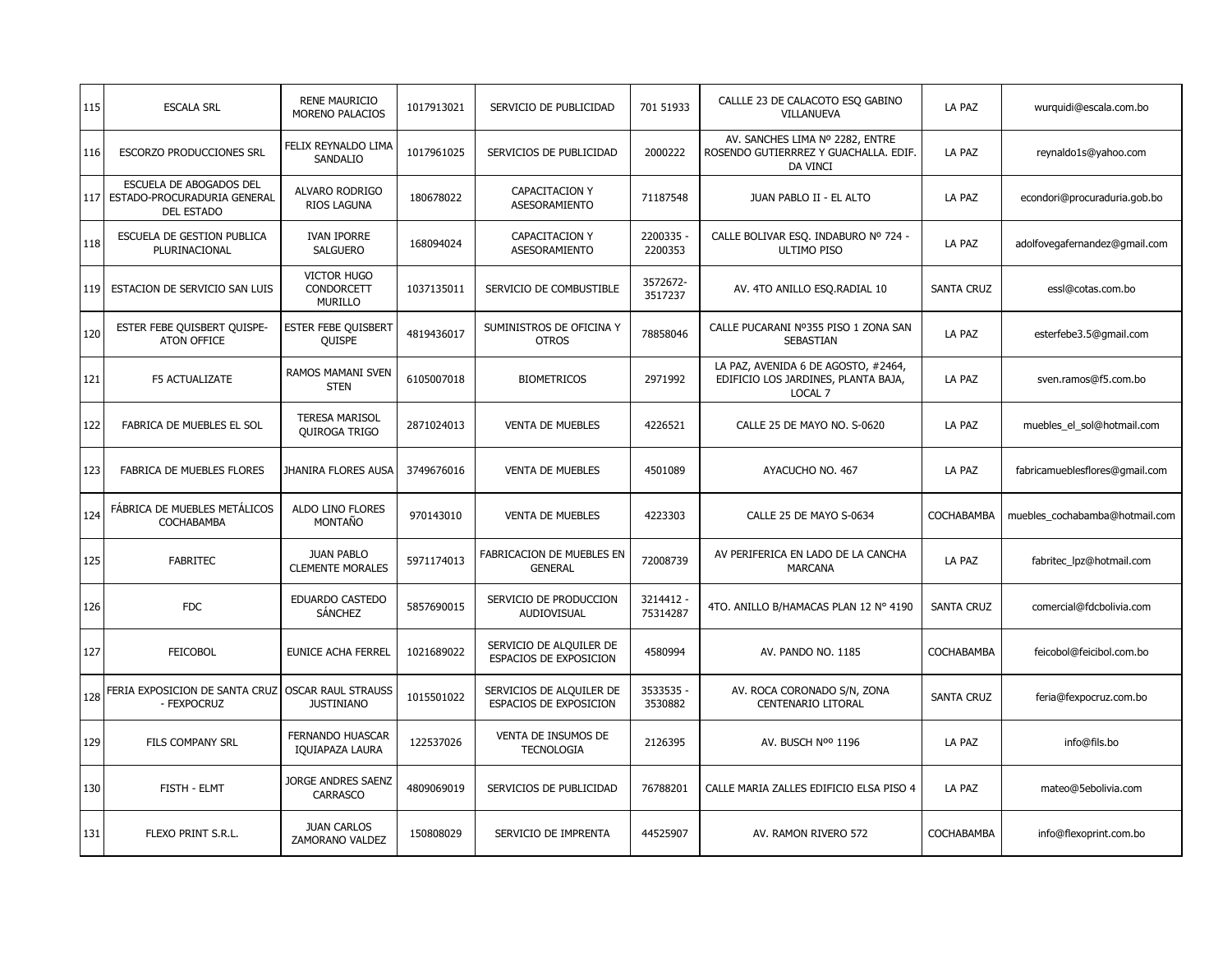| 115 | <b>ESCALA SRL</b>                                                           | <b>RENE MAURICIO</b><br>MORENO PALACIOS            | 1017913021 | SERVICIO DE PUBLICIDAD                             | 701 51933            | CALLLE 23 DE CALACOTO ESO GABINO<br>VILLANUEVA                                        | LA PAZ            | wurquidi@escala.com.bo         |
|-----|-----------------------------------------------------------------------------|----------------------------------------------------|------------|----------------------------------------------------|----------------------|---------------------------------------------------------------------------------------|-------------------|--------------------------------|
| 116 | <b>ESCORZO PRODUCCIONES SRL</b>                                             | FELIX REYNALDO LIMA<br>SANDALIO                    | 1017961025 | SERVICIOS DE PUBLICIDAD                            | 2000222              | AV. SANCHES LIMA Nº 2282, ENTRE<br>ROSENDO GUTIERRREZ Y GUACHALLA, EDIF.<br>DA VINCI  | LA PAZ            | reynaldo1s@yahoo.com           |
| 117 | ESCUELA DE ABOGADOS DEL<br>ESTADO-PROCURADURIA GENERAL<br><b>DEL ESTADO</b> | ALVARO RODRIGO<br>RIOS LAGUNA                      | 180678022  | <b>CAPACITACION Y</b><br>ASESORAMIENTO             | 71187548             | JUAN PABLO II - EL ALTO                                                               | LA PAZ            | econdori@procuraduria.gob.bo   |
| 118 | ESCUELA DE GESTION PUBLICA<br>PLURINACIONAL                                 | <b>IVAN IPORRE</b><br><b>SALGUERO</b>              | 168094024  | CAPACITACION Y<br>ASESORAMIENTO                    | 2200335 -<br>2200353 | CALLE BOLIVAR ESO. INDABURO Nº 724 -<br>ULTIMO PISO                                   | LA PAZ            | adolfovegafernandez@gmail.com  |
| 119 | ESTACION DE SERVICIO SAN LUIS                                               | <b>VICTOR HUGO</b><br>CONDORCETT<br><b>MURILLO</b> | 1037135011 | SERVICIO DE COMBUSTIBLE                            | 3572672-<br>3517237  | AV. 4TO ANILLO ESO.RADIAL 10                                                          | <b>SANTA CRUZ</b> | essl@cotas.com.bo              |
| 120 | ESTER FEBE QUISBERT QUISPE-<br><b>ATON OFFICE</b>                           | <b>ESTER FEBE QUISBERT</b><br>QUISPE               | 4819436017 | SUMINISTROS DE OFICINA Y<br><b>OTROS</b>           | 78858046             | CALLE PUCARANI Nº355 PISO 1 ZONA SAN<br><b>SEBASTIAN</b>                              | LA PAZ            | esterfebe3.5@gmail.com         |
| 121 | <b>F5 ACTUALIZATE</b>                                                       | RAMOS MAMANI SVEN<br><b>STEN</b>                   | 6105007018 | <b>BIOMETRICOS</b>                                 | 2971992              | LA PAZ, AVENIDA 6 DE AGOSTO, #2464,<br>EDIFICIO LOS JARDINES, PLANTA BAJA,<br>LOCAL 7 | LA PAZ            | sven.ramos@f5.com.bo           |
| 122 | FABRICA DE MUEBLES EL SOL                                                   | <b>TERESA MARISOL</b><br>QUIROGA TRIGO             | 2871024013 | <b>VENTA DE MUEBLES</b>                            | 4226521              | CALLE 25 DE MAYO NO. S-0620                                                           | LA PAZ            | muebles_el_sol@hotmail.com     |
| 123 | FABRICA DE MUEBLES FLORES                                                   | JHANIRA FLORES AUSA                                | 3749676016 | <b>VENTA DE MUEBLES</b>                            | 4501089              | AYACUCHO NO. 467                                                                      | LA PAZ            | fabricamueblesflores@gmail.com |
| 124 | FÁBRICA DE MUEBLES METÁLICOS<br>COCHABAMBA                                  | ALDO LINO FLORES<br>MONTAÑO                        | 970143010  | <b>VENTA DE MUEBLES</b>                            | 4223303              | CALLE 25 DE MAYO S-0634                                                               | COCHABAMBA        | muebles cochabamba@hotmail.com |
| 125 | <b>FABRITEC</b>                                                             | <b>JUAN PABLO</b><br><b>CLEMENTE MORALES</b>       | 5971174013 | <b>FABRICACION DE MUEBLES EN</b><br><b>GENERAL</b> | 72008739             | AV PERIFERICA EN LADO DE LA CANCHA<br><b>MARCANA</b>                                  | LA PAZ            | fabritec lpz@hotmail.com       |
| 126 | <b>FDC</b>                                                                  | EDUARDO CASTEDO<br><b>SÁNCHEZ</b>                  | 5857690015 | SERVICIO DE PRODUCCION<br>AUDIOVISUAL              | 3214412<br>75314287  | 4TO. ANILLO B/HAMACAS PLAN 12 Nº 4190                                                 | <b>SANTA CRUZ</b> | comercial@fdcbolivia.com       |
| 127 | <b>FEICOBOL</b>                                                             | EUNICE ACHA FERREL                                 | 1021689022 | SERVICIO DE ALQUILER DE<br>ESPACIOS DE EXPOSICION  | 4580994              | AV. PANDO NO. 1185                                                                    | COCHABAMBA        | feicobol@feicibol.com.bo       |
| 128 | FERIA EXPOSICION DE SANTA CRUZ<br>- FEXPOCRUZ                               | <b>OSCAR RAUL STRAUSS</b><br><b>JUSTINIANO</b>     | 1015501022 | SERVICIOS DE ALQUILER DE<br>ESPACIOS DE EXPOSICION | 3533535 -<br>3530882 | AV. ROCA CORONADO S/N, ZONA<br><b>CENTENARIO LITORAL</b>                              | <b>SANTA CRUZ</b> | feria@fexpocruz.com.bo         |
| 129 | <b>FILS COMPANY SRL</b>                                                     | FERNANDO HUASCAR<br>IQUIAPAZA LAURA                | 122537026  | VENTA DE INSUMOS DE<br><b>TECNOLOGIA</b>           | 2126395              | AV. BUSCH Nºº 1196                                                                    | LA PAZ            | info@fils.bo                   |
| 130 | FISTH - ELMT                                                                | JORGE ANDRES SAENZ<br>CARRASCO                     | 4809069019 | SERVICIOS DE PUBLICIDAD                            | 76788201             | CALLE MARIA ZALLES EDIFICIO ELSA PISO 4                                               | LA PAZ            | mateo@5ebolivia.com            |
| 131 | FLEXO PRINT S.R.L.                                                          | <b>JUAN CARLOS</b><br>ZAMORANO VALDEZ              | 150808029  | SERVICIO DE IMPRENTA                               | 44525907             | AV. RAMON RIVERO 572                                                                  | COCHABAMBA        | info@flexoprint.com.bo         |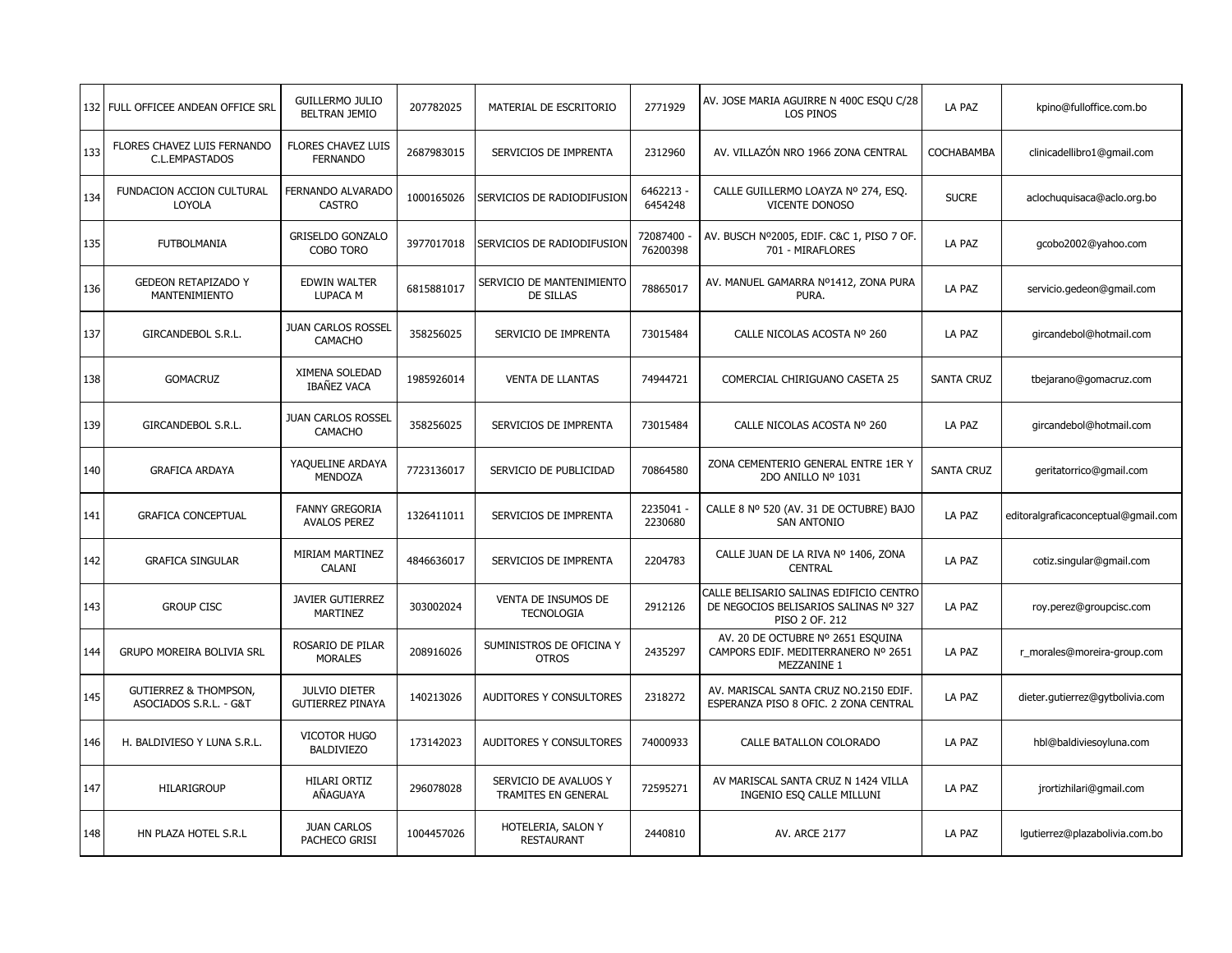|     | 132 FULL OFFICEE ANDEAN OFFICE SRL                         | <b>GUILLERMO JULIO</b><br><b>BELTRAN JEMIO</b>  | 207782025  | MATERIAL DE ESCRITORIO                        | 2771929              | AV. JOSE MARIA AGUIRRE N 400C ESQU C/28<br><b>LOS PINOS</b>                                        | LA PAZ            | kpino@fulloffice.com.bo             |
|-----|------------------------------------------------------------|-------------------------------------------------|------------|-----------------------------------------------|----------------------|----------------------------------------------------------------------------------------------------|-------------------|-------------------------------------|
| 133 | FLORES CHAVEZ LUIS FERNANDO<br>C.L.EMPASTADOS              | FLORES CHAVEZ LUIS<br><b>FERNANDO</b>           | 2687983015 | SERVICIOS DE IMPRENTA                         | 2312960              | AV. VILLAZÓN NRO 1966 ZONA CENTRAL                                                                 | COCHABAMBA        | clinicadellibro1@gmail.com          |
| 134 | FUNDACION ACCION CULTURAL<br>LOYOLA                        | FERNANDO ALVARADO<br><b>CASTRO</b>              | 1000165026 | SERVICIOS DE RADIODIFUSION                    | 6462213 -<br>6454248 | CALLE GUILLERMO LOAYZA Nº 274, ESQ.<br><b>VICENTE DONOSO</b>                                       | <b>SUCRE</b>      | aclochuquisaca@aclo.org.bo          |
| 135 | <b>FUTBOLMANIA</b>                                         | <b>GRISELDO GONZALO</b><br>COBO TORO            | 3977017018 | SERVICIOS DE RADIODIFUSION                    | 72087400<br>76200398 | AV. BUSCH Nº2005, EDIF. C&C 1, PISO 7 OF.<br>701 - MIRAFLORES                                      | LA PAZ            | gcobo2002@yahoo.com                 |
| 136 | <b>GEDEON RETAPIZADO Y</b><br><b>MANTENIMIENTO</b>         | <b>EDWIN WALTER</b><br>LUPACA M                 | 6815881017 | SERVICIO DE MANTENIMIENTO<br><b>DE SILLAS</b> | 78865017             | AV. MANUEL GAMARRA Nº1412, ZONA PURA<br>PURA.                                                      | LA PAZ            | servicio.gedeon@gmail.com           |
| 137 | GIRCANDEBOL S.R.L.                                         | <b>JUAN CARLOS ROSSEL</b><br>CAMACHO            | 358256025  | SERVICIO DE IMPRENTA                          | 73015484             | CALLE NICOLAS ACOSTA Nº 260                                                                        | LA PAZ            | gircandebol@hotmail.com             |
| 138 | <b>GOMACRUZ</b>                                            | XIMENA SOLEDAD<br>IBAÑEZ VACA                   | 1985926014 | <b>VENTA DE LLANTAS</b>                       | 74944721             | COMERCIAL CHIRIGUANO CASETA 25                                                                     | <b>SANTA CRUZ</b> | tbejarano@gomacruz.com              |
| 139 | GIRCANDEBOL S.R.L.                                         | <b>JUAN CARLOS ROSSEL</b><br><b>CAMACHO</b>     | 358256025  | SERVICIOS DE IMPRENTA                         | 73015484             | CALLE NICOLAS ACOSTA Nº 260                                                                        | LA PAZ            | gircandebol@hotmail.com             |
| 140 | <b>GRAFICA ARDAYA</b>                                      | YAQUELINE ARDAYA<br><b>MENDOZA</b>              | 7723136017 | SERVICIO DE PUBLICIDAD                        | 70864580             | ZONA CEMENTERIO GENERAL ENTRE 1ER Y<br>2DO ANILLO Nº 1031                                          | <b>SANTA CRUZ</b> | geritatorrico@gmail.com             |
| 141 | <b>GRAFICA CONCEPTUAL</b>                                  | <b>FANNY GREGORIA</b><br><b>AVALOS PEREZ</b>    | 1326411011 | SERVICIOS DE IMPRENTA                         | 2235041<br>2230680   | CALLE 8 Nº 520 (AV. 31 DE OCTUBRE) BAJO<br><b>SAN ANTONIO</b>                                      | LA PAZ            | editoralgraficaconceptual@gmail.com |
| 142 | <b>GRAFICA SINGULAR</b>                                    | MIRIAM MARTINEZ<br>CALANI                       | 4846636017 | SERVICIOS DE IMPRENTA                         | 2204783              | CALLE JUAN DE LA RIVA Nº 1406, ZONA<br><b>CENTRAL</b>                                              | LA PAZ            | cotiz.singular@gmail.com            |
| 143 | <b>GROUP CISC</b>                                          | JAVIER GUTIERREZ<br><b>MARTINEZ</b>             | 303002024  | VENTA DE INSUMOS DE<br><b>TECNOLOGIA</b>      | 2912126              | CALLE BELISARIO SALINAS EDIFICIO CENTRO<br>DE NEGOCIOS BELISARIOS SALINAS Nº 327<br>PISO 2 OF. 212 | LA PAZ            | roy.perez@groupcisc.com             |
| 144 | <b>GRUPO MOREIRA BOLIVIA SRL</b>                           | ROSARIO DE PILAR<br><b>MORALES</b>              | 208916026  | SUMINISTROS DE OFICINA Y<br><b>OTROS</b>      | 2435297              | AV. 20 DE OCTUBRE Nº 2651 ESQUINA<br>CAMPORS EDIF. MEDITERRANERO Nº 2651<br>MEZZANINE 1            | LA PAZ            | r_morales@moreira-group.com         |
| 145 | <b>GUTIERREZ &amp; THOMPSON,</b><br>ASOCIADOS S.R.L. - G&T | <b>JULVIO DIETER</b><br><b>GUTIERREZ PINAYA</b> | 140213026  | AUDITORES Y CONSULTORES                       | 2318272              | AV. MARISCAL SANTA CRUZ NO.2150 EDIF.<br>ESPERANZA PISO 8 OFIC. 2 ZONA CENTRAL                     | LA PAZ            | dieter.gutierrez@gytbolivia.com     |
| 146 | H. BALDIVIESO Y LUNA S.R.L.                                | <b>VICOTOR HUGO</b><br><b>BALDIVIEZO</b>        | 173142023  | AUDITORES Y CONSULTORES                       | 74000933             | CALLE BATALLON COLORADO                                                                            | LA PAZ            | hbl@baldiviesoyluna.com             |
| 147 | HILARIGROUP                                                | <b>HILARI ORTIZ</b><br>AÑAGUAYA                 | 296078028  | SERVICIO DE AVALUOS Y<br>TRAMITES EN GENERAL  | 72595271             | AV MARISCAL SANTA CRUZ N 1424 VILLA<br>INGENIO ESQ CALLE MILLUNI                                   | LA PAZ            | jrortizhilari@gmail.com             |
| 148 | HN PLAZA HOTEL S.R.L                                       | <b>JUAN CARLOS</b><br>PACHECO GRISI             | 1004457026 | HOTELERIA, SALON Y<br><b>RESTAURANT</b>       | 2440810              | <b>AV. ARCE 2177</b>                                                                               | LA PAZ            | lgutierrez@plazabolivia.com.bo      |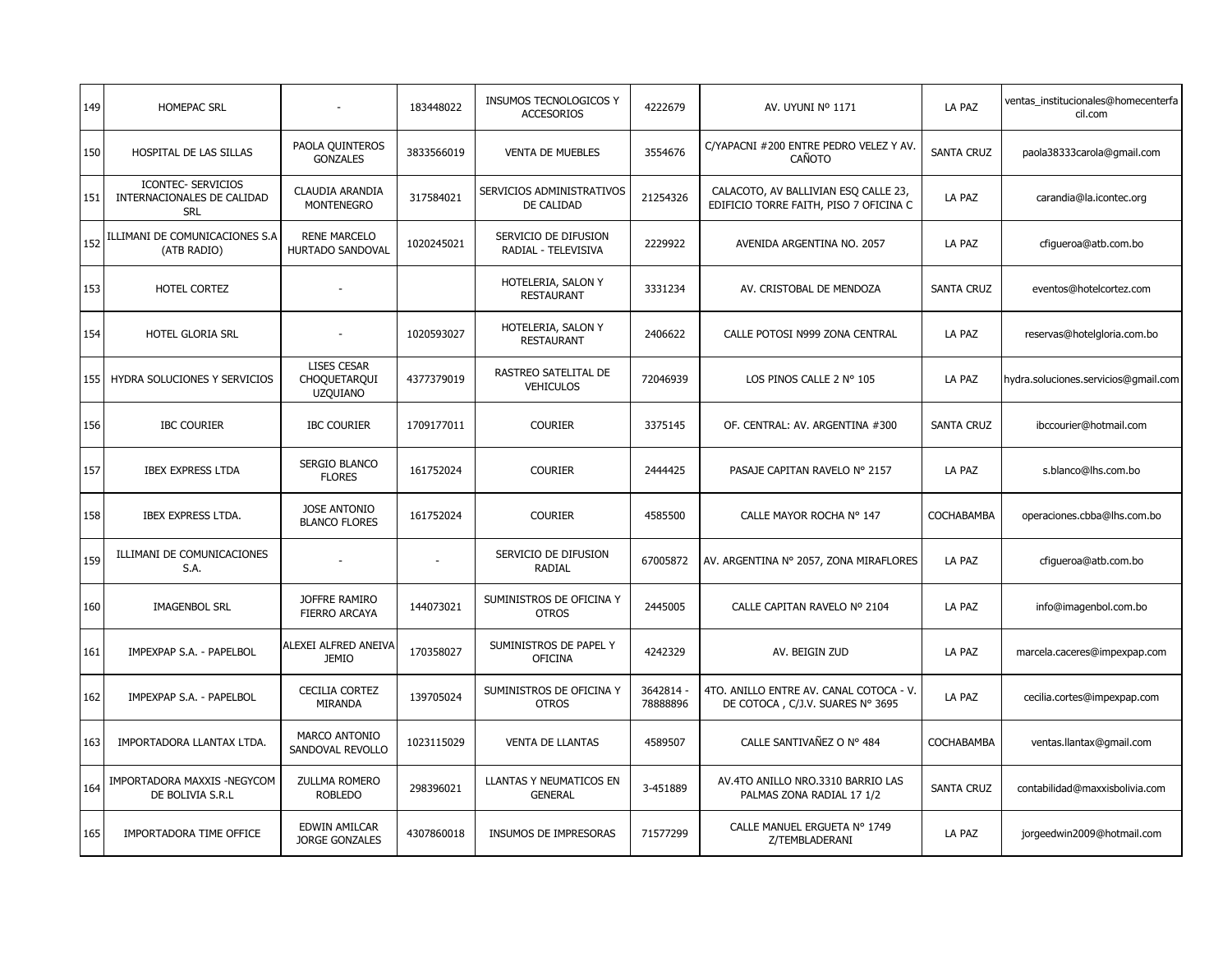| 149 | HOMEPAC SRL                                                           |                                                       | 183448022  | INSUMOS TECNOLOGICOS Y<br><b>ACCESORIOS</b>      | 4222679               | AV. UYUNI Nº 1171                                                              | LA PAZ            | ventas institucionales@homecenterfa<br>cil.com |
|-----|-----------------------------------------------------------------------|-------------------------------------------------------|------------|--------------------------------------------------|-----------------------|--------------------------------------------------------------------------------|-------------------|------------------------------------------------|
| 150 | HOSPITAL DE LAS SILLAS                                                | PAOLA QUINTEROS<br><b>GONZALES</b>                    | 3833566019 | <b>VENTA DE MUEBLES</b>                          | 3554676               | C/YAPACNI #200 ENTRE PEDRO VELEZ Y AV<br>CAÑOTO                                | <b>SANTA CRUZ</b> | paola38333carola@gmail.com                     |
| 151 | <b>ICONTEC- SERVICIOS</b><br>INTERNACIONALES DE CALIDAD<br><b>SRL</b> | <b>CLAUDIA ARANDIA</b><br><b>MONTENEGRO</b>           | 317584021  | SERVICIOS ADMINISTRATIVOS<br>DE CALIDAD          | 21254326              | CALACOTO, AV BALLIVIAN ESQ CALLE 23,<br>EDIFICIO TORRE FAITH, PISO 7 OFICINA C | LA PAZ            | carandia@la.icontec.org                        |
| 152 | ILLIMANI DE COMUNICACIONES S.A<br>(ATB RADIO)                         | <b>RENE MARCELO</b><br>HURTADO SANDOVAL               | 1020245021 | SERVICIO DE DIFUSION<br>RADIAL - TELEVISIVA      | 2229922               | AVENIDA ARGENTINA NO. 2057                                                     | LA PAZ            | cfigueroa@atb.com.bo                           |
| 153 | <b>HOTEL CORTEZ</b>                                                   |                                                       |            | HOTELERIA, SALON Y<br><b>RESTAURANT</b>          | 3331234               | AV. CRISTOBAL DE MENDOZA                                                       | <b>SANTA CRUZ</b> | eventos@hotelcortez.com                        |
| 154 | HOTEL GLORIA SRL                                                      |                                                       | 1020593027 | HOTELERIA, SALON Y<br><b>RESTAURANT</b>          | 2406622               | CALLE POTOSI N999 ZONA CENTRAL                                                 | LA PAZ            | reservas@hotelgloria.com.bo                    |
| 155 | <b>HYDRA SOLUCIONES Y SERVICIOS</b>                                   | <b>LISES CESAR</b><br>CHOQUETARQUI<br><b>UZQUIANO</b> | 4377379019 | RASTREO SATELITAL DE<br><b>VEHICULOS</b>         | 72046939              | LOS PINOS CALLE 2 Nº 105                                                       | LA PAZ            | hydra.soluciones.servicios@qmail.com           |
| 156 | <b>IBC COURIER</b>                                                    | <b>IBC COURIER</b>                                    | 1709177011 | <b>COURIER</b>                                   | 3375145               | OF. CENTRAL: AV. ARGENTINA #300                                                | <b>SANTA CRUZ</b> | ibccourier@hotmail.com                         |
| 157 | <b>IBEX EXPRESS LTDA</b>                                              | SERGIO BLANCO<br><b>FLORES</b>                        | 161752024  | <b>COURIER</b>                                   | 2444425               | PASAJE CAPITAN RAVELO Nº 2157                                                  | LA PAZ            | s.blanco@lhs.com.bo                            |
| 158 | <b>IBEX EXPRESS LTDA.</b>                                             | <b>JOSE ANTONIO</b><br><b>BLANCO FLORES</b>           | 161752024  | <b>COURIER</b>                                   | 4585500               | CALLE MAYOR ROCHA Nº 147                                                       | COCHABAMBA        | operaciones.cbba@lhs.com.bo                    |
| 159 | ILLIMANI DE COMUNICACIONES<br>S.A.                                    |                                                       |            | SERVICIO DE DIFUSION<br>RADIAL                   | 67005872              | AV. ARGENTINA Nº 2057, ZONA MIRAFLORES                                         | LA PAZ            | cfiqueroa@atb.com.bo                           |
| 160 | <b>IMAGENBOL SRL</b>                                                  | JOFFRE RAMIRO<br>FIERRO ARCAYA                        | 144073021  | SUMINISTROS DE OFICINA Y<br><b>OTROS</b>         | 2445005               | CALLE CAPITAN RAVELO Nº 2104                                                   | LA PAZ            | info@imagenbol.com.bo                          |
| 161 | IMPEXPAP S.A. - PAPELBOL                                              | ALEXEI ALFRED ANEIVA<br><b>JEMIO</b>                  | 170358027  | SUMINISTROS DE PAPEL Y<br><b>OFICINA</b>         | 4242329               | AV. BEIGIN ZUD                                                                 | LA PAZ            | marcela.caceres@impexpap.com                   |
| 162 | IMPEXPAP S.A. - PAPELBOL                                              | <b>CECILIA CORTEZ</b><br><b>MIRANDA</b>               | 139705024  | SUMINISTROS DE OFICINA Y<br><b>OTROS</b>         | 3642814 -<br>78888896 | 4TO. ANILLO ENTRE AV. CANAL COTOCA - V.<br>DE COTOCA, C/J.V. SUARES Nº 3695    | LA PAZ            | cecilia.cortes@impexpap.com                    |
| 163 | IMPORTADORA LLANTAX LTDA.                                             | MARCO ANTONIO<br>SANDOVAL REVOLLO                     | 1023115029 | <b>VENTA DE LLANTAS</b>                          | 4589507               | CALLE SANTIVAÑEZ O Nº 484                                                      | COCHABAMBA        | ventas.llantax@gmail.com                       |
| 164 | IMPORTADORA MAXXIS -NEGYCOM<br>DE BOLIVIA S.R.L                       | <b>ZULLMA ROMERO</b><br><b>ROBLEDO</b>                | 298396021  | <b>LLANTAS Y NEUMATICOS EN</b><br><b>GENERAL</b> | 3-451889              | AV.4TO ANILLO NRO.3310 BARRIO LAS<br>PALMAS ZONA RADIAL 17 1/2                 | <b>SANTA CRUZ</b> | contabilidad@maxxisbolivia.com                 |
| 165 | IMPORTADORA TIME OFFICE                                               | EDWIN AMILCAR<br>JORGE GONZALES                       | 4307860018 | INSUMOS DE IMPRESORAS                            | 71577299              | CALLE MANUEL ERGUETA Nº 1749<br>Z/TEMBLADERANI                                 | LA PAZ            | jorgeedwin2009@hotmail.com                     |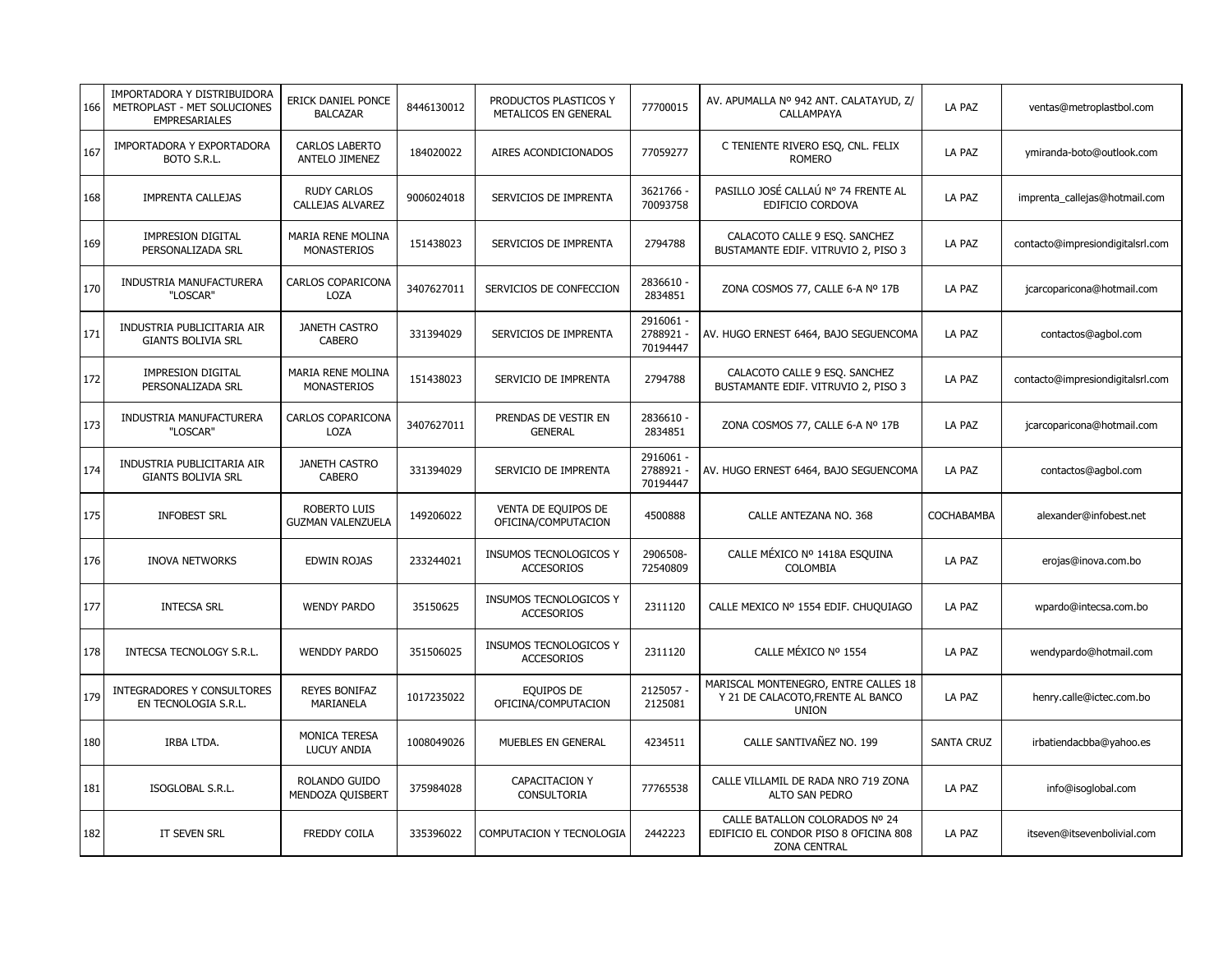| 166 | IMPORTADORA Y DISTRIBUIDORA<br>METROPLAST - MET SOLUCIONES<br><b>EMPRESARIALES</b> | ERICK DANIEL PONCE<br><b>BALCAZAR</b>         | 8446130012 | PRODUCTOS PLASTICOS Y<br>METALICOS EN GENERAL | 77700015                           | AV. APUMALLA Nº 942 ANT. CALATAYUD, Z/<br>CALLAMPAYA                                           | LA PAZ            | ventas@metroplastbol.com         |
|-----|------------------------------------------------------------------------------------|-----------------------------------------------|------------|-----------------------------------------------|------------------------------------|------------------------------------------------------------------------------------------------|-------------------|----------------------------------|
| 167 | IMPORTADORA Y EXPORTADORA<br>BOTO S.R.L.                                           | <b>CARLOS LABERTO</b><br>ANTELO JIMENEZ       | 184020022  | AIRES ACONDICIONADOS                          | 77059277                           | C TENIENTE RIVERO ESQ, CNL. FELIX<br><b>ROMERO</b>                                             | LA PAZ            | ymiranda-boto@outlook.com        |
| 168 | IMPRENTA CALLEJAS                                                                  | <b>RUDY CARLOS</b><br><b>CALLEJAS ALVAREZ</b> | 9006024018 | SERVICIOS DE IMPRENTA                         | 3621766 -<br>70093758              | PASILLO JOSÉ CALLAÚ Nº 74 FRENTE AL<br>EDIFICIO CORDOVA                                        | LA PAZ            | imprenta_callejas@hotmail.com    |
| 169 | IMPRESION DIGITAL<br>PERSONALIZADA SRL                                             | MARIA RENE MOLINA<br><b>MONASTERIOS</b>       | 151438023  | SERVICIOS DE IMPRENTA                         | 2794788                            | CALACOTO CALLE 9 ESQ. SANCHEZ<br>BUSTAMANTE EDIF. VITRUVIO 2, PISO 3                           | LA PAZ            | contacto@impresiondigitalsrl.com |
| 170 | INDUSTRIA MANUFACTURERA<br>"LOSCAR"                                                | CARLOS COPARICONA<br>LOZA                     | 3407627011 | SERVICIOS DE CONFECCION                       | 2836610 -<br>2834851               | ZONA COSMOS 77, CALLE 6-A Nº 17B                                                               | LA PAZ            | jcarcoparicona@hotmail.com       |
| 171 | INDUSTRIA PUBLICITARIA AIR<br><b>GIANTS BOLIVIA SRL</b>                            | JANETH CASTRO<br><b>CABERO</b>                | 331394029  | SERVICIOS DE IMPRENTA                         | 2916061 -<br>2788921<br>70194447   | AV. HUGO ERNEST 6464, BAJO SEGUENCOMA                                                          | LA PAZ            | contactos@agbol.com              |
| 172 | <b>IMPRESION DIGITAL</b><br>PERSONALIZADA SRL                                      | MARIA RENE MOLINA<br><b>MONASTERIOS</b>       | 151438023  | SERVICIO DE IMPRENTA                          | 2794788                            | CALACOTO CALLE 9 ESO. SANCHEZ<br>BUSTAMANTE EDIF. VITRUVIO 2, PISO 3                           | LA PAZ            | contacto@impresiondigitalsrl.com |
| 173 | INDUSTRIA MANUFACTURERA<br>"LOSCAR"                                                | CARLOS COPARICONA<br>LOZA                     | 3407627011 | PRENDAS DE VESTIR EN<br><b>GENERAL</b>        | 2836610 -<br>2834851               | ZONA COSMOS 77, CALLE 6-A Nº 17B                                                               | LA PAZ            | jcarcoparicona@hotmail.com       |
| 174 | INDUSTRIA PUBLICITARIA AIR<br><b>GIANTS BOLIVIA SRL</b>                            | JANETH CASTRO<br><b>CABERO</b>                | 331394029  | SERVICIO DE IMPRENTA                          | 2916061 -<br>2788921 -<br>70194447 | AV. HUGO ERNEST 6464, BAJO SEGUENCOMA                                                          | LA PAZ            | contactos@agbol.com              |
| 175 | <b>INFOBEST SRL</b>                                                                | ROBERTO LUIS<br><b>GUZMAN VALENZUELA</b>      | 149206022  | VENTA DE EQUIPOS DE<br>OFICINA/COMPUTACION    | 4500888                            | CALLE ANTEZANA NO. 368                                                                         | COCHABAMBA        | alexander@infobest.net           |
| 176 | <b>INOVA NETWORKS</b>                                                              | EDWIN ROJAS                                   | 233244021  | INSUMOS TECNOLOGICOS Y<br><b>ACCESORIOS</b>   | 2906508-<br>72540809               | CALLE MÉXICO Nº 1418A ESQUINA<br><b>COLOMBIA</b>                                               | LA PAZ            | erojas@inova.com.bo              |
| 177 | <b>INTECSA SRL</b>                                                                 | <b>WENDY PARDO</b>                            | 35150625   | INSUMOS TECNOLOGICOS Y<br><b>ACCESORIOS</b>   | 2311120                            | CALLE MEXICO Nº 1554 EDIF. CHUQUIAGO                                                           | LA PAZ            | wpardo@intecsa.com.bo            |
| 178 | INTECSA TECNOLOGY S.R.L.                                                           | <b>WENDDY PARDO</b>                           | 351506025  | INSUMOS TECNOLOGICOS Y<br><b>ACCESORIOS</b>   | 2311120                            | CALLE MÉXICO Nº 1554                                                                           | LA PAZ            | wendypardo@hotmail.com           |
| 179 | <b>INTEGRADORES Y CONSULTORES</b><br>EN TECNOLOGIA S.R.L.                          | <b>REYES BONIFAZ</b><br>MARIANELA             | 1017235022 | EQUIPOS DE<br>OFICINA/COMPUTACION             | 2125057<br>2125081                 | MARISCAL MONTENEGRO, ENTRE CALLES 18<br>Y 21 DE CALACOTO, FRENTE AL BANCO<br><b>UNION</b>      | LA PAZ            | henry.calle@ictec.com.bo         |
| 180 | IRBA LTDA.                                                                         | MONICA TERESA<br>LUCUY ANDIA                  | 1008049026 | MUEBLES EN GENERAL                            | 4234511                            | CALLE SANTIVAÑEZ NO. 199                                                                       | <b>SANTA CRUZ</b> | irbatiendacbba@yahoo.es          |
| 181 | ISOGLOBAL S.R.L.                                                                   | ROLANDO GUIDO<br>MENDOZA QUISBERT             | 375984028  | CAPACITACION Y<br>CONSULTORIA                 | 77765538                           | CALLE VILLAMIL DE RADA NRO 719 ZONA<br>ALTO SAN PEDRO                                          | LA PAZ            | info@isoglobal.com               |
| 182 | IT SEVEN SRL                                                                       | <b>FREDDY COILA</b>                           | 335396022  | COMPUTACION Y TECNOLOGIA                      | 2442223                            | CALLE BATALLON COLORADOS Nº 24<br>EDIFICIO EL CONDOR PISO 8 OFICINA 808<br><b>ZONA CENTRAL</b> | LA PAZ            | itseven@itsevenbolivial.com      |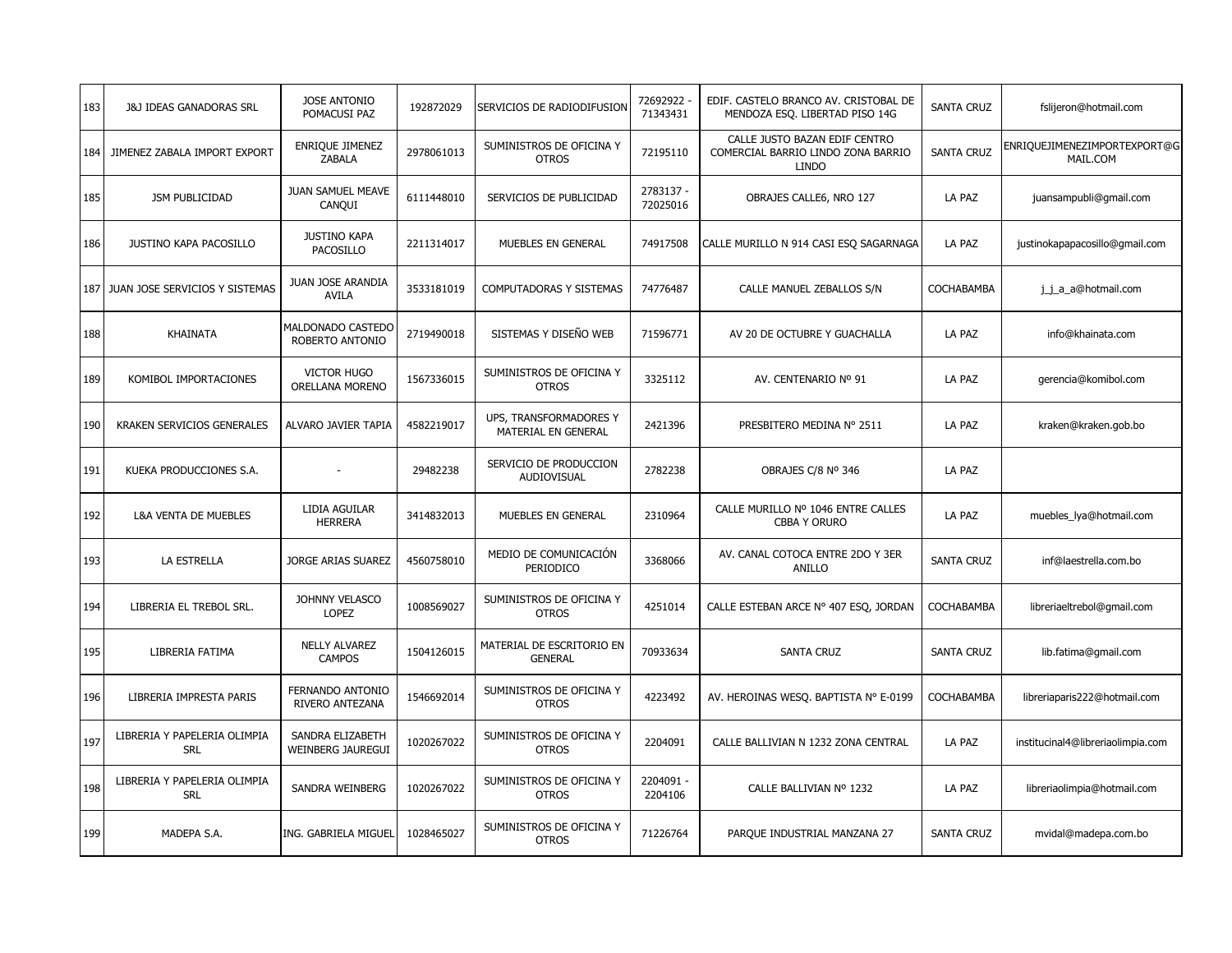| 183 | <b>J&amp;J IDEAS GANADORAS SRL</b>         | <b>JOSE ANTONIO</b><br>POMACUSI PAZ          | 192872029  | SERVICIOS DE RADIODIFUSION                    | 72692922<br>71343431  | EDIF. CASTELO BRANCO AV. CRISTOBAL DE<br>MENDOZA ESQ. LIBERTAD PISO 14G             | <b>SANTA CRUZ</b> | fslijeron@hotmail.com                    |
|-----|--------------------------------------------|----------------------------------------------|------------|-----------------------------------------------|-----------------------|-------------------------------------------------------------------------------------|-------------------|------------------------------------------|
| 184 | JIMENEZ ZABALA IMPORT EXPORT               | ENRIQUE JIMENEZ<br>ZABALA                    | 2978061013 | SUMINISTROS DE OFICINA Y<br><b>OTROS</b>      | 72195110              | CALLE JUSTO BAZAN EDIF CENTRO<br>COMERCIAL BARRIO LINDO ZONA BARRIO<br><b>LINDO</b> | <b>SANTA CRUZ</b> | ENRIQUEJIMENEZIMPORTEXPORT@G<br>MAIL.COM |
| 185 | JSM PUBLICIDAD                             | <b>JUAN SAMUEL MEAVE</b><br>CANQUI           | 6111448010 | SERVICIOS DE PUBLICIDAD                       | 2783137 -<br>72025016 | OBRAJES CALLE6, NRO 127                                                             | LA PAZ            | juansampubli@gmail.com                   |
| 186 | <b>JUSTINO KAPA PACOSILLO</b>              | <b>JUSTINO KAPA</b><br>PACOSILLO             | 2211314017 | MUEBLES EN GENERAL                            | 74917508              | CALLE MURILLO N 914 CASI ESQ SAGARNAGA                                              | LA PAZ            | justinokapapacosillo@gmail.com           |
| 187 | JUAN JOSE SERVICIOS Y SISTEMAS             | JUAN JOSE ARANDIA<br><b>AVILA</b>            | 3533181019 | COMPUTADORAS Y SISTEMAS                       | 74776487              | CALLE MANUEL ZEBALLOS S/N                                                           | COCHABAMBA        | j_j_a_a@hotmail.com                      |
| 188 | KHAINATA                                   | MALDONADO CASTEDO<br>ROBERTO ANTONIO         | 2719490018 | SISTEMAS Y DISEÑO WEB                         | 71596771              | AV 20 DE OCTUBRE Y GUACHALLA                                                        | LA PAZ            | info@khainata.com                        |
| 189 | KOMIBOL IMPORTACIONES                      | <b>VICTOR HUGO</b><br>ORELLANA MORENO        | 1567336015 | SUMINISTROS DE OFICINA Y<br><b>OTROS</b>      | 3325112               | AV. CENTENARIO Nº 91                                                                | LA PAZ            | gerencia@komibol.com                     |
| 190 | KRAKEN SERVICIOS GENERALES                 | ALVARO JAVIER TAPIA                          | 4582219017 | UPS, TRANSFORMADORES Y<br>MATERIAL EN GENERAL | 2421396               | PRESBITERO MEDINA Nº 2511                                                           | LA PAZ            | kraken@kraken.gob.bo                     |
| 191 | KUEKA PRODUCCIONES S.A.                    |                                              | 29482238   | SERVICIO DE PRODUCCION<br><b>AUDIOVISUAL</b>  | 2782238               | OBRAJES C/8 Nº 346                                                                  | LA PAZ            |                                          |
| 192 | <b>L&amp;A VENTA DE MUEBLES</b>            | LIDIA AGUILAR<br><b>HERRERA</b>              | 3414832013 | MUEBLES EN GENERAL                            | 2310964               | CALLE MURILLO Nº 1046 ENTRE CALLES<br>CBBA Y ORURO                                  | LA PAZ            | muebles_lya@hotmail.com                  |
| 193 | LA ESTRELLA                                | JORGE ARIAS SUAREZ                           | 4560758010 | MEDIO DE COMUNICACIÓN<br>PERIODICO            | 3368066               | AV. CANAL COTOCA ENTRE 2DO Y 3ER<br>ANILLO                                          | <b>SANTA CRUZ</b> | inf@laestrella.com.bo                    |
| 194 | LIBRERIA EL TREBOL SRL.                    | JOHNNY VELASCO<br><b>LOPEZ</b>               | 1008569027 | SUMINISTROS DE OFICINA Y<br><b>OTROS</b>      | 4251014               | CALLE ESTEBAN ARCE Nº 407 ESQ, JORDAN                                               | COCHABAMBA        | libreriaeltrebol@gmail.com               |
| 195 | LIBRERIA FATIMA                            | <b>NELLY ALVAREZ</b><br><b>CAMPOS</b>        | 1504126015 | MATERIAL DE ESCRITORIO EN<br><b>GENERAL</b>   | 70933634              | <b>SANTA CRUZ</b>                                                                   | <b>SANTA CRUZ</b> | lib.fatima@gmail.com                     |
| 196 | LIBRERIA IMPRESTA PARIS                    | FERNANDO ANTONIO<br><b>RIVERO ANTEZANA</b>   | 1546692014 | SUMINISTROS DE OFICINA Y<br><b>OTROS</b>      | 4223492               | AV. HEROINAS WESO. BAPTISTA Nº E-0199                                               | COCHABAMBA        | libreriaparis222@hotmail.com             |
| 197 | LIBRERIA Y PAPELERIA OLIMPIA<br><b>SRL</b> | SANDRA ELIZABETH<br><b>WEINBERG JAUREGUI</b> | 1020267022 | SUMINISTROS DE OFICINA Y<br><b>OTROS</b>      | 2204091               | CALLE BALLIVIAN N 1232 ZONA CENTRAL                                                 | LA PAZ            | institucinal4@libreriaolimpia.com        |
| 198 | LIBRERIA Y PAPELERIA OLIMPIA<br><b>SRL</b> | SANDRA WEINBERG                              | 1020267022 | SUMINISTROS DE OFICINA Y<br><b>OTROS</b>      | 2204091 -<br>2204106  | CALLE BALLIVIAN Nº 1232                                                             | LA PAZ            | libreriaolimpia@hotmail.com              |
| 199 | MADEPA S.A.                                | ING. GABRIELA MIGUEL                         | 1028465027 | SUMINISTROS DE OFICINA Y<br><b>OTROS</b>      | 71226764              | PARQUE INDUSTRIAL MANZANA 27                                                        | <b>SANTA CRUZ</b> | mvidal@madepa.com.bo                     |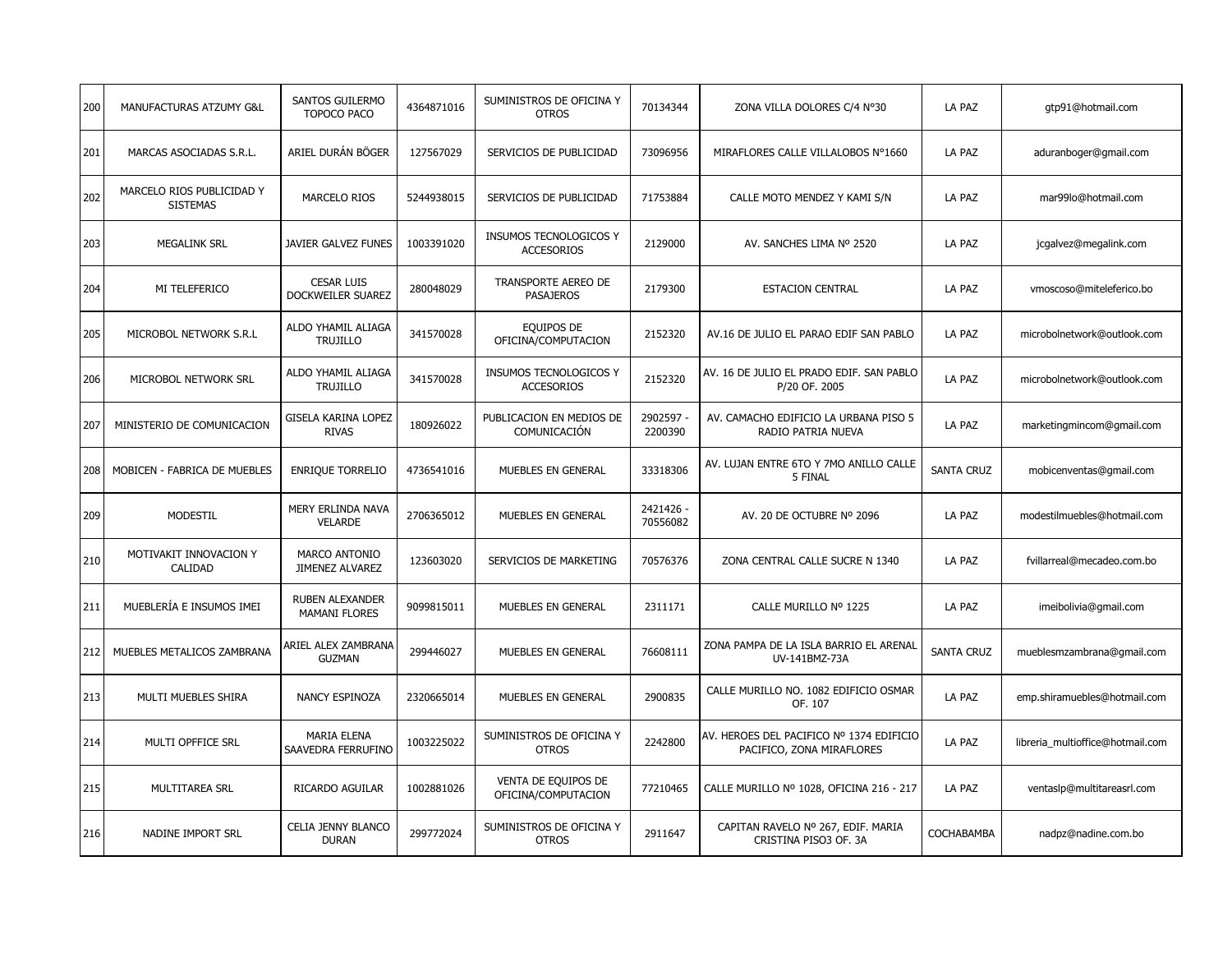| 200 | MANUFACTURAS ATZUMY G&L                      | SANTOS GUILERMO<br>TOPOCO PACO                 | 4364871016 | SUMINISTROS DE OFICINA Y<br><b>OTROS</b>    | 70134344              | ZONA VILLA DOLORES C/4 Nº30                                           | LA PAZ            | gtp91@hotmail.com                |
|-----|----------------------------------------------|------------------------------------------------|------------|---------------------------------------------|-----------------------|-----------------------------------------------------------------------|-------------------|----------------------------------|
| 201 | MARCAS ASOCIADAS S.R.L.                      | ARIEL DURÁN BÖGER                              | 127567029  | SERVICIOS DE PUBLICIDAD                     | 73096956              | MIRAFLORES CALLE VILLALOBOS Nº1660                                    | LA PAZ            | aduranboger@gmail.com            |
| 202 | MARCELO RIOS PUBLICIDAD Y<br><b>SISTEMAS</b> | <b>MARCELO RIOS</b>                            | 5244938015 | SERVICIOS DE PUBLICIDAD                     | 71753884              | CALLE MOTO MENDEZ Y KAMI S/N                                          | LA PAZ            | mar99lo@hotmail.com              |
| 203 | <b>MEGALINK SRL</b>                          | JAVIER GALVEZ FUNES                            | 1003391020 | INSUMOS TECNOLOGICOS Y<br><b>ACCESORIOS</b> | 2129000               | AV. SANCHES LIMA Nº 2520                                              | LA PAZ            | jcgalvez@megalink.com            |
| 204 | MI TELEFERICO                                | <b>CESAR LUIS</b><br>DOCKWEILER SUAREZ         | 280048029  | TRANSPORTE AEREO DE<br><b>PASAJEROS</b>     | 2179300               | <b>ESTACION CENTRAL</b>                                               | LA PAZ            | vmoscoso@miteleferico.bo         |
| 205 | MICROBOL NETWORK S.R.L                       | ALDO YHAMIL ALIAGA<br><b>TRUJILLO</b>          | 341570028  | EQUIPOS DE<br>OFICINA/COMPUTACION           | 2152320               | AV.16 DE JULIO EL PARAO EDIF SAN PABLO                                | LA PAZ            | microbolnetwork@outlook.com      |
| 206 | MICROBOL NETWORK SRL                         | ALDO YHAMIL ALIAGA<br><b>TRUJILLO</b>          | 341570028  | INSUMOS TECNOLOGICOS Y<br><b>ACCESORIOS</b> | 2152320               | AV. 16 DE JULIO EL PRADO EDIF. SAN PABLO<br>P/20 OF. 2005             | LA PAZ            | microbolnetwork@outlook.com      |
| 207 | MINISTERIO DE COMUNICACION                   | <b>GISELA KARINA LOPEZ</b><br><b>RIVAS</b>     | 180926022  | PUBLICACION EN MEDIOS DE<br>COMUNICACIÓN    | 2902597<br>2200390    | AV. CAMACHO EDIFICIO LA URBANA PISO 5<br>RADIO PATRIA NUEVA           | LA PAZ            | marketingmincom@gmail.com        |
| 208 | MOBICEN - FABRICA DE MUEBLES                 | ENRIQUE TORRELIO                               | 4736541016 | MUEBLES EN GENERAL                          | 33318306              | AV. LUJAN ENTRE 6TO Y 7MO ANILLO CALLE<br>5 FINAL                     | <b>SANTA CRUZ</b> | mobicenventas@gmail.com          |
| 209 | MODESTIL                                     | MERY ERLINDA NAVA<br><b>VELARDE</b>            | 2706365012 | MUEBLES EN GENERAL                          | 2421426 -<br>70556082 | AV. 20 DE OCTUBRE Nº 2096                                             | LA PAZ            | modestilmuebles@hotmail.com      |
| 210 | MOTIVAKIT INNOVACION Y<br>CALIDAD            | <b>MARCO ANTONIO</b><br><b>JIMENEZ ALVAREZ</b> | 123603020  | SERVICIOS DE MARKETING                      | 70576376              | ZONA CENTRAL CALLE SUCRE N 1340                                       | LA PAZ            | fvillarreal@mecadeo.com.bo       |
| 211 | MUEBLERÍA E INSUMOS IMEI                     | <b>RUBEN ALEXANDER</b><br><b>MAMANI FLORES</b> | 9099815011 | MUEBLES EN GENERAL                          | 2311171               | CALLE MURILLO Nº 1225                                                 | LA PAZ            | imeibolivia@gmail.com            |
| 212 | MUEBLES METALICOS ZAMBRANA                   | ARIEL ALEX ZAMBRANA<br><b>GUZMAN</b>           | 299446027  | MUEBLES EN GENERAL                          | 76608111              | ZONA PAMPA DE LA ISLA BARRIO EL ARENAL<br>UV-141BMZ-73A               | <b>SANTA CRUZ</b> | mueblesmzambrana@gmail.com       |
| 213 | MULTI MUEBLES SHIRA                          | NANCY ESPINOZA                                 | 2320665014 | MUEBLES EN GENERAL                          | 2900835               | CALLE MURILLO NO. 1082 EDIFICIO OSMAR<br>OF. 107                      | LA PAZ            | emp.shiramuebles@hotmail.com     |
| 214 | MULTI OPFFICE SRL                            | <b>MARIA ELENA</b><br>SAAVEDRA FERRUFINO       | 1003225022 | SUMINISTROS DE OFICINA Y<br><b>OTROS</b>    | 2242800               | AV. HEROES DEL PACIFICO Nº 1374 EDIFICIO<br>PACIFICO, ZONA MIRAFLORES | LA PAZ            | libreria multioffice@hotmail.com |
| 215 | MULTITAREA SRL                               | <b>RICARDO AGUILAR</b>                         | 1002881026 | VENTA DE EQUIPOS DE<br>OFICINA/COMPUTACION  | 77210465              | CALLE MURILLO Nº 1028, OFICINA 216 - 217                              | LA PAZ            | ventaslp@multitareasrl.com       |
| 216 | NADINE IMPORT SRL                            | CELIA JENNY BLANCO<br><b>DURAN</b>             | 299772024  | SUMINISTROS DE OFICINA Y<br><b>OTROS</b>    | 2911647               | CAPITAN RAVELO Nº 267, EDIF. MARIA<br>CRISTINA PISO3 OF. 3A           | COCHABAMBA        | nadpz@nadine.com.bo              |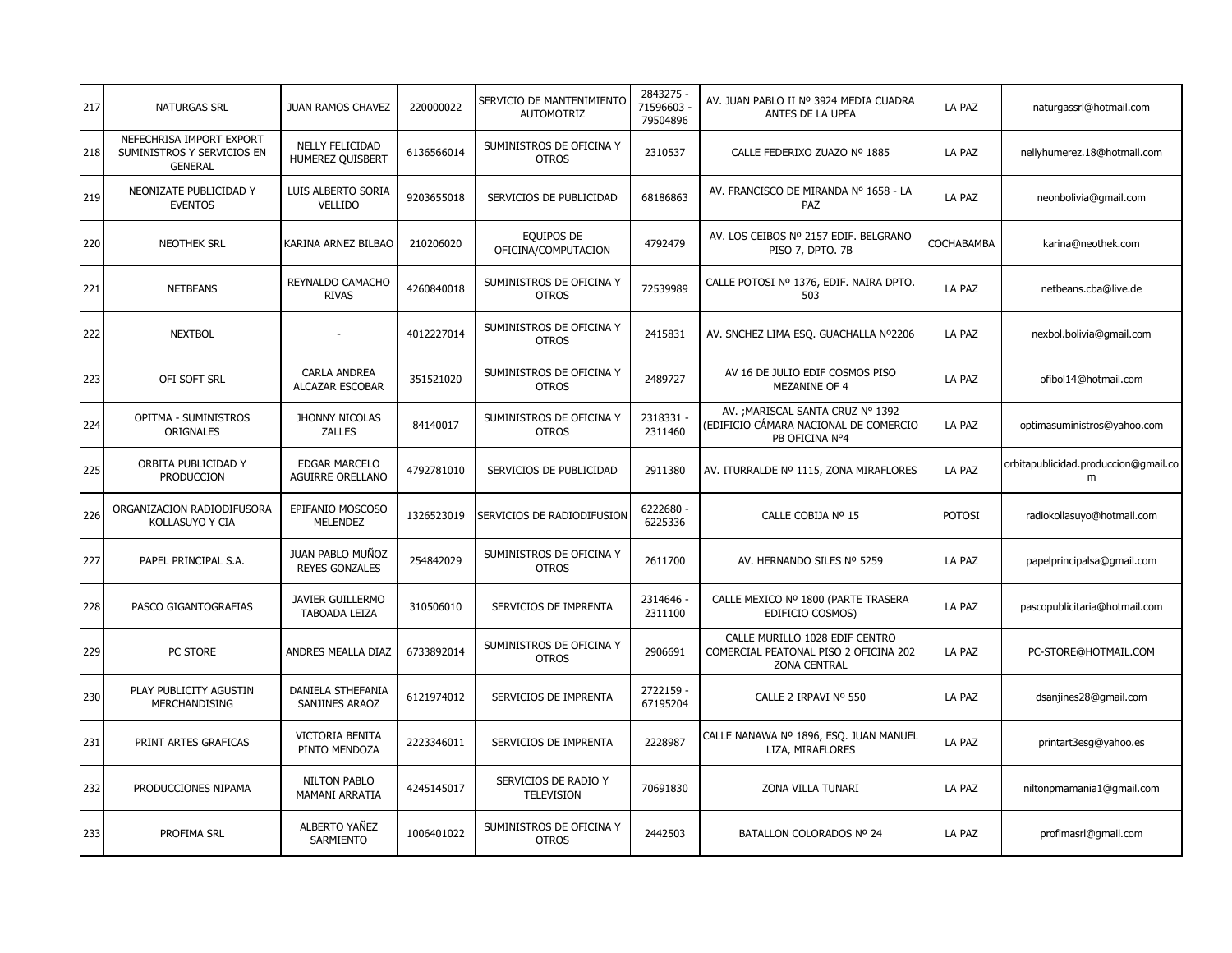| 217 | <b>NATURGAS SRL</b>                                                      | <b>JUAN RAMOS CHAVEZ</b>                         | 220000022  | SERVICIO DE MANTENIMIENTO<br><b>AUTOMOTRIZ</b> | 2843275<br>71596603<br>79504896 | AV. JUAN PABLO II Nº 3924 MEDIA CUADRA<br>ANTES DE LA UPEA                                     | LA PAZ        | naturgassrl@hotmail.com                   |
|-----|--------------------------------------------------------------------------|--------------------------------------------------|------------|------------------------------------------------|---------------------------------|------------------------------------------------------------------------------------------------|---------------|-------------------------------------------|
| 218 | NEFECHRISA IMPORT EXPORT<br>SUMINISTROS Y SERVICIOS EN<br><b>GENERAL</b> | <b>NELLY FELICIDAD</b><br>HUMEREZ QUISBERT       | 6136566014 | SUMINISTROS DE OFICINA Y<br><b>OTROS</b>       | 2310537                         | CALLE FEDERIXO ZUAZO Nº 1885                                                                   | LA PAZ        | nellyhumerez.18@hotmail.com               |
| 219 | NEONIZATE PUBLICIDAD Y<br><b>EVENTOS</b>                                 | LUIS ALBERTO SORIA<br>VELLIDO                    | 9203655018 | SERVICIOS DE PUBLICIDAD                        | 68186863                        | AV. FRANCISCO DE MIRANDA Nº 1658 - LA<br>PAZ                                                   | LA PAZ        | neonbolivia@gmail.com                     |
| 220 | <b>NEOTHEK SRL</b>                                                       | KARINA ARNEZ BILBAO                              | 210206020  | EQUIPOS DE<br>OFICINA/COMPUTACION              | 4792479                         | AV. LOS CEIBOS Nº 2157 EDIF. BELGRANO<br>PISO 7, DPTO. 7B                                      | COCHABAMBA    | karina@neothek.com                        |
| 221 | <b>NETBEANS</b>                                                          | REYNALDO CAMACHO<br><b>RIVAS</b>                 | 4260840018 | SUMINISTROS DE OFICINA Y<br><b>OTROS</b>       | 72539989                        | CALLE POTOSI Nº 1376, EDIF. NAIRA DPTO.<br>503                                                 | LA PAZ        | netbeans.cba@live.de                      |
| 222 | <b>NEXTBOL</b>                                                           |                                                  | 4012227014 | SUMINISTROS DE OFICINA Y<br><b>OTROS</b>       | 2415831                         | AV. SNCHEZ LIMA ESO. GUACHALLA Nº2206                                                          | LA PAZ        | nexbol.bolivia@gmail.com                  |
| 223 | OFI SOFT SRL                                                             | <b>CARLA ANDREA</b><br><b>ALCAZAR ESCOBAR</b>    | 351521020  | SUMINISTROS DE OFICINA Y<br><b>OTROS</b>       | 2489727                         | AV 16 DE JULIO EDIF COSMOS PISO<br><b>MEZANINE OF 4</b>                                        | LA PAZ        | ofibol14@hotmail.com                      |
| 224 | OPITMA - SUMINISTROS<br>ORIGNALES                                        | JHONNY NICOLAS<br><b>ZALLES</b>                  | 84140017   | SUMINISTROS DE OFICINA Y<br><b>OTROS</b>       | 2318331 -<br>2311460            | AV. ; MARISCAL SANTA CRUZ Nº 1392<br>(EDIFICIO CÁMARA NACIONAL DE COMERCIO)<br>PB OFICINA Nº4  | LA PAZ        | optimasuministros@yahoo.com               |
| 225 | ORBITA PUBLICIDAD Y<br>PRODUCCION                                        | <b>EDGAR MARCELO</b><br><b>AGUIRRE ORELLANO</b>  | 4792781010 | SERVICIOS DE PUBLICIDAD                        | 2911380                         | AV. ITURRALDE Nº 1115, ZONA MIRAFLORES                                                         | LA PAZ        | orbitapublicidad.produccion@gmail.co<br>m |
| 226 | ORGANIZACION RADIODIFUSORA<br>KOLLASUYO Y CIA                            | EPIFANIO MOSCOSO<br><b>MELENDEZ</b>              | 1326523019 | SERVICIOS DE RADIODIFUSION                     | 6222680 -<br>6225336            | CALLE COBIJA Nº 15                                                                             | <b>POTOSI</b> | radiokollasuyo@hotmail.com                |
| 227 | PAPEL PRINCIPAL S.A.                                                     | <b>JUAN PABLO MUÑOZ</b><br><b>REYES GONZALES</b> | 254842029  | SUMINISTROS DE OFICINA Y<br><b>OTROS</b>       | 2611700                         | AV. HERNANDO SILES Nº 5259                                                                     | LA PAZ        | papelprincipalsa@gmail.com                |
| 228 | PASCO GIGANTOGRAFIAS                                                     | <b>JAVIER GUILLERMO</b><br>TABOADA LEIZA         | 310506010  | SERVICIOS DE IMPRENTA                          | 2314646<br>2311100              | CALLE MEXICO Nº 1800 (PARTE TRASERA<br>EDIFICIO COSMOS)                                        | LA PAZ        | pascopublicitaria@hotmail.com             |
| 229 | PC STORE                                                                 | ANDRES MEALLA DIAZ                               | 6733892014 | SUMINISTROS DE OFICINA Y<br><b>OTROS</b>       | 2906691                         | CALLE MURILLO 1028 EDIF CENTRO<br>COMERCIAL PEATONAL PISO 2 OFICINA 202<br><b>ZONA CENTRAL</b> | LA PAZ        | PC-STORE@HOTMAIL.COM                      |
| 230 | PLAY PUBLICITY AGUSTIN<br>MERCHANDISING                                  | DANIELA STHEFANIA<br>SANJINES ARAOZ              | 6121974012 | SERVICIOS DE IMPRENTA                          | 2722159 -<br>67195204           | CALLE 2 IRPAVI Nº 550                                                                          | LA PAZ        | dsanjines28@gmail.com                     |
| 231 | PRINT ARTES GRAFICAS                                                     | <b>VICTORIA BENITA</b><br>PINTO MENDOZA          | 2223346011 | SERVICIOS DE IMPRENTA                          | 2228987                         | CALLE NANAWA Nº 1896, ESO. JUAN MANUEL<br>LIZA, MIRAFLORES                                     | LA PAZ        | printart3esg@yahoo.es                     |
| 232 | PRODUCCIONES NIPAMA                                                      | <b>NILTON PABLO</b><br>MAMANI ARRATIA            | 4245145017 | SERVICIOS DE RADIO Y<br><b>TELEVISION</b>      | 70691830                        | ZONA VILLA TUNARI                                                                              | LA PAZ        | niltonpmamania1@gmail.com                 |
| 233 | PROFIMA SRL                                                              | ALBERTO YAÑEZ<br>SARMIENTO                       | 1006401022 | SUMINISTROS DE OFICINA Y<br><b>OTROS</b>       | 2442503                         | BATALLON COLORADOS Nº 24                                                                       | LA PAZ        | profimasrl@gmail.com                      |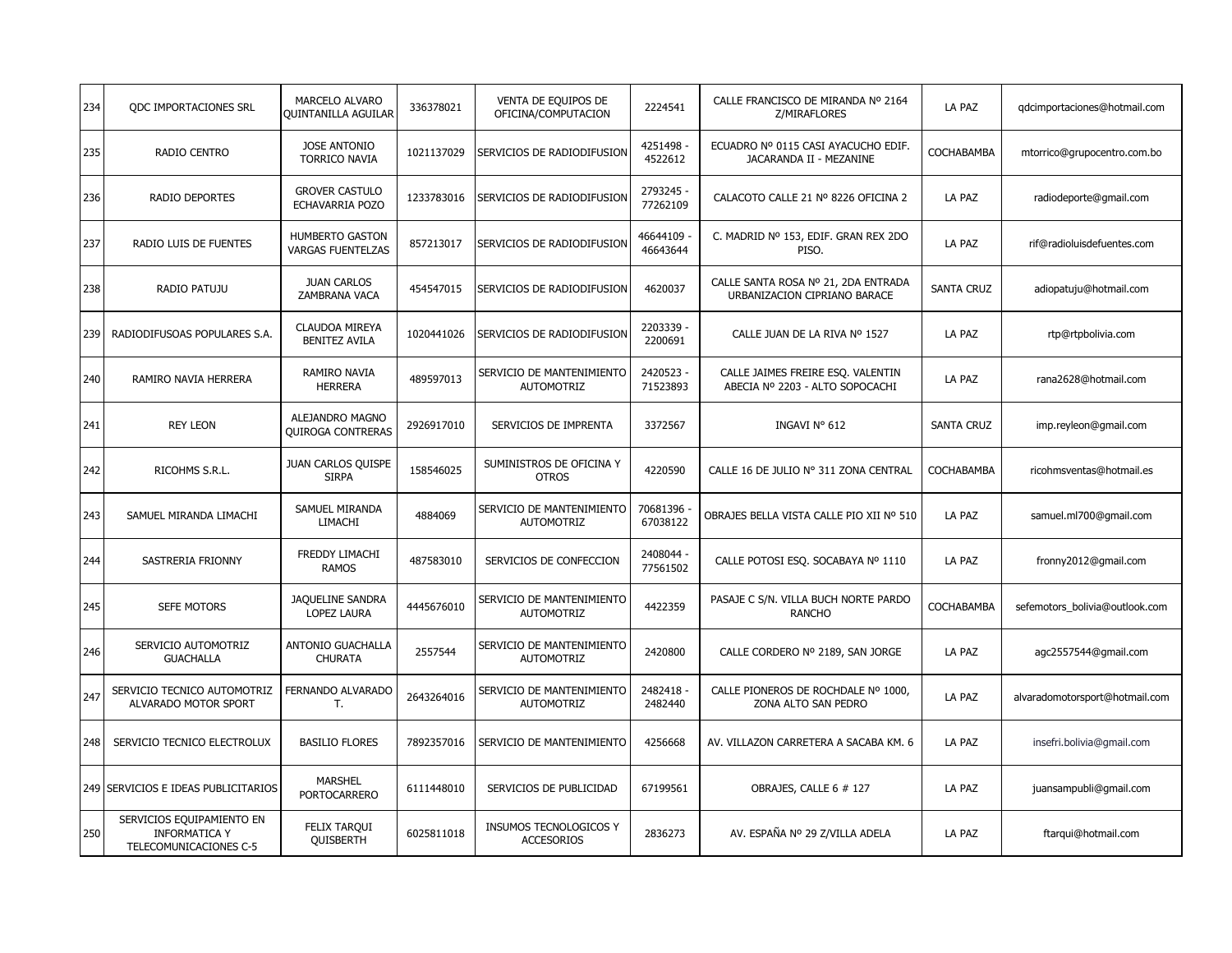| 234 | <b>QDC IMPORTACIONES SRL</b>                                                | MARCELO ALVARO<br><b>QUINTANILLA AGUILAR</b>       | 336378021  | VENTA DE EQUIPOS DE<br>OFICINA/COMPUTACION     | 2224541               | CALLE FRANCISCO DE MIRANDA Nº 2164<br>Z/MIRAFLORES                   | LA PAZ            | qdcimportaciones@hotmail.com   |
|-----|-----------------------------------------------------------------------------|----------------------------------------------------|------------|------------------------------------------------|-----------------------|----------------------------------------------------------------------|-------------------|--------------------------------|
| 235 | <b>RADIO CENTRO</b>                                                         | <b>JOSE ANTONIO</b><br><b>TORRICO NAVIA</b>        | 1021137029 | SERVICIOS DE RADIODIFUSION                     | 4251498 -<br>4522612  | ECUADRO Nº 0115 CASI AYACUCHO EDIF.<br>JACARANDA II - MEZANINE       | COCHABAMBA        | mtorrico@grupocentro.com.bo    |
| 236 | <b>RADIO DEPORTES</b>                                                       | <b>GROVER CASTULO</b><br>ECHAVARRIA POZO           | 1233783016 | SERVICIOS DE RADIODIFUSION                     | 2793245 -<br>77262109 | CALACOTO CALLE 21 Nº 8226 OFICINA 2                                  | LA PAZ            | radiodeporte@gmail.com         |
| 237 | RADIO LUIS DE FUENTES                                                       | <b>HUMBERTO GASTON</b><br><b>VARGAS FUENTELZAS</b> | 857213017  | SERVICIOS DE RADIODIFUSION                     | 46644109<br>46643644  | C. MADRID Nº 153, EDIF. GRAN REX 2DO<br>PISO.                        | LA PAZ            | rif@radioluisdefuentes.com     |
| 238 | RADIO PATUJU                                                                | <b>JUAN CARLOS</b><br>ZAMBRANA VACA                | 454547015  | SERVICIOS DE RADIODIFUSION                     | 4620037               | CALLE SANTA ROSA Nº 21, 2DA ENTRADA<br>URBANIZACION CIPRIANO BARACE  | <b>SANTA CRUZ</b> | adiopatuju@hotmail.com         |
| 239 | RADIODIFUSOAS POPULARES S.A.                                                | <b>CLAUDOA MIREYA</b><br><b>BENITEZ AVILA</b>      | 1020441026 | SERVICIOS DE RADIODIFUSION                     | 2203339 -<br>2200691  | CALLE JUAN DE LA RIVA Nº 1527                                        | LA PAZ            | rtp@rtpbolivia.com             |
| 240 | RAMIRO NAVIA HERRERA                                                        | RAMIRO NAVIA<br><b>HERRERA</b>                     | 489597013  | SERVICIO DE MANTENIMIENTO<br><b>AUTOMOTRIZ</b> | 2420523 -<br>71523893 | CALLE JAIMES FREIRE ESO. VALENTIN<br>ABECIA Nº 2203 - ALTO SOPOCACHI | LA PAZ            | rana2628@hotmail.com           |
| 241 | <b>REY LEON</b>                                                             | ALEJANDRO MAGNO<br><b>OUIROGA CONTRERAS</b>        | 2926917010 | SERVICIOS DE IMPRENTA                          | 3372567               | INGAVI Nº 612                                                        | <b>SANTA CRUZ</b> | imp.reyleon@gmail.com          |
| 242 | RICOHMS S.R.L.                                                              | JUAN CARLOS QUISPE<br><b>SIRPA</b>                 | 158546025  | SUMINISTROS DE OFICINA Y<br><b>OTROS</b>       | 4220590               | CALLE 16 DE JULIO Nº 311 ZONA CENTRAL                                | COCHABAMBA        | ricohmsventas@hotmail.es       |
| 243 | SAMUEL MIRANDA LIMACHI                                                      | SAMUEL MIRANDA<br>LIMACHI                          | 4884069    | SERVICIO DE MANTENIMIENTO<br><b>AUTOMOTRIZ</b> | 70681396<br>67038122  | OBRAJES BELLA VISTA CALLE PIO XII Nº 510                             | LA PAZ            | samuel.ml700@gmail.com         |
| 244 | SASTRERIA FRIONNY                                                           | FREDDY LIMACHI<br><b>RAMOS</b>                     | 487583010  | SERVICIOS DE CONFECCION                        | 2408044 -<br>77561502 | CALLE POTOSI ESO. SOCABAYA Nº 1110                                   | LA PAZ            | fronny2012@gmail.com           |
| 245 | <b>SEFE MOTORS</b>                                                          | <b>JAQUELINE SANDRA</b><br>LOPEZ LAURA             | 4445676010 | SERVICIO DE MANTENIMIENTO<br><b>AUTOMOTRIZ</b> | 4422359               | PASAJE C S/N. VILLA BUCH NORTE PARDO<br><b>RANCHO</b>                | COCHABAMBA        | sefemotors_bolivia@outlook.com |
| 246 | SERVICIO AUTOMOTRIZ<br><b>GUACHALLA</b>                                     | ANTONIO GUACHALLA<br><b>CHURATA</b>                | 2557544    | SERVICIO DE MANTENIMIENTO<br><b>AUTOMOTRIZ</b> | 2420800               | CALLE CORDERO Nº 2189, SAN JORGE                                     | LA PAZ            | agc2557544@gmail.com           |
| 247 | SERVICIO TECNICO AUTOMOTRIZ<br>ALVARADO MOTOR SPORT                         | FERNANDO ALVARADO<br>Т.                            | 2643264016 | SERVICIO DE MANTENIMIENTO<br><b>AUTOMOTRIZ</b> | 2482418 -<br>2482440  | CALLE PIONEROS DE ROCHDALE Nº 1000,<br>ZONA ALTO SAN PEDRO           | LA PAZ            | alvaradomotorsport@hotmail.com |
| 248 | SERVICIO TECNICO ELECTROLUX                                                 | <b>BASILIO FLORES</b>                              | 7892357016 | SERVICIO DE MANTENIMIENTO                      | 4256668               | AV. VILLAZON CARRETERA A SACABA KM. 6                                | LA PAZ            | insefri.bolivia@gmail.com      |
|     | 249 SERVICIOS E IDEAS PUBLICITARIOS                                         | <b>MARSHEL</b><br><b>PORTOCARRERO</b>              | 6111448010 | SERVICIOS DE PUBLICIDAD                        | 67199561              | OBRAJES, CALLE 6 # 127                                               | LA PAZ            | juansampubli@gmail.com         |
| 250 | SERVICIOS EQUIPAMIENTO EN<br><b>INFORMATICA Y</b><br>TELECOMUNICACIONES C-5 | <b>FELIX TARQUI</b><br><b>QUISBERTH</b>            | 6025811018 | INSUMOS TECNOLOGICOS Y<br><b>ACCESORIOS</b>    | 2836273               | AV. ESPAÑA Nº 29 Z/VILLA ADELA                                       | LA PAZ            | ftarqui@hotmail.com            |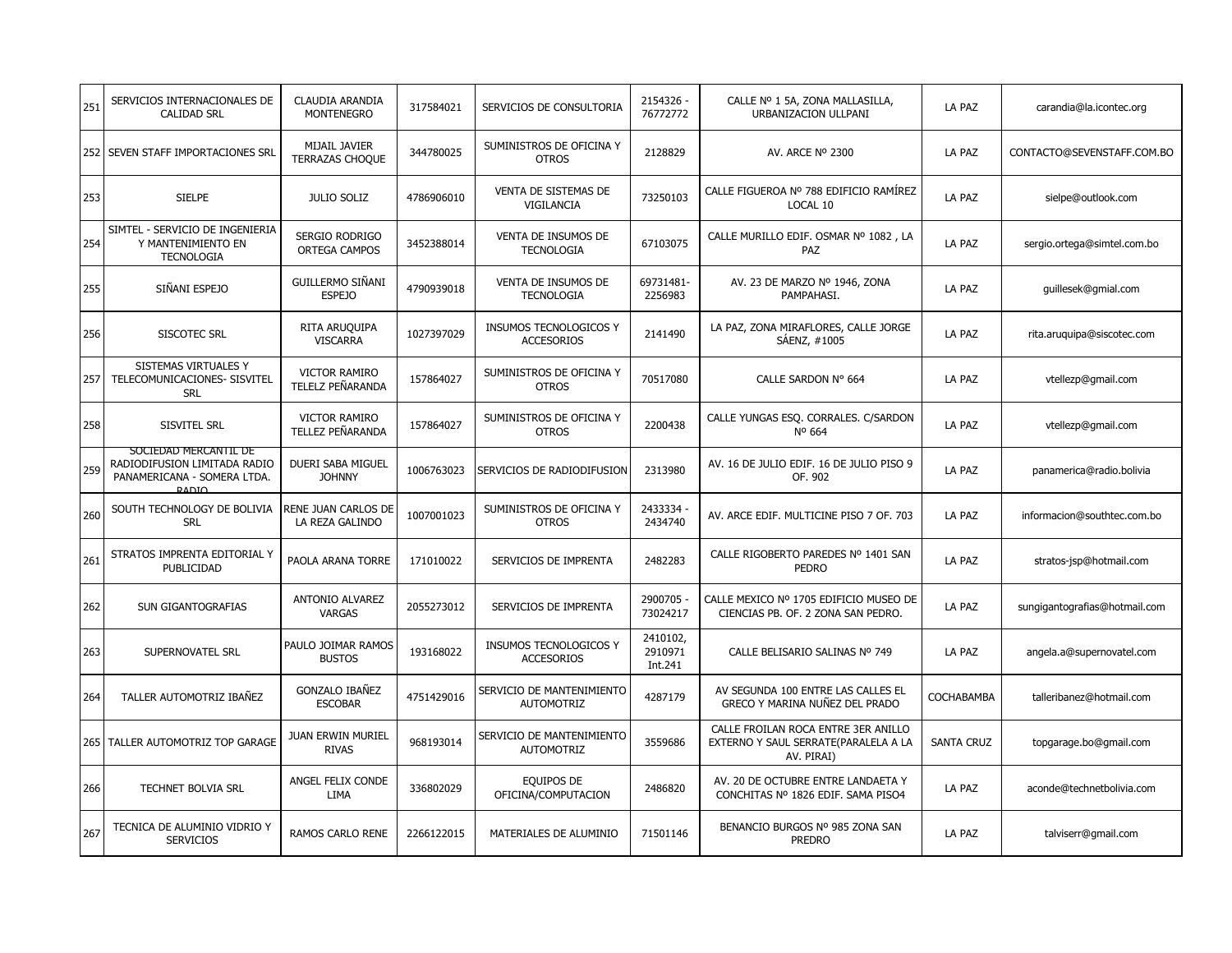| 251 | SERVICIOS INTERNACIONALES DE<br><b>CALIDAD SRL</b>                                                   | CLAUDIA ARANDIA<br><b>MONTENEGRO</b>     | 317584021  | SERVICIOS DE CONSULTORIA                           | 2154326 -<br>76772772          | CALLE Nº 1 5A, ZONA MALLASILLA,<br>URBANIZACION ULLPANI                                   | LA PAZ            | carandia@la.icontec.org       |
|-----|------------------------------------------------------------------------------------------------------|------------------------------------------|------------|----------------------------------------------------|--------------------------------|-------------------------------------------------------------------------------------------|-------------------|-------------------------------|
|     | 252 SEVEN STAFF IMPORTACIONES SRL                                                                    | MIJAIL JAVIER<br><b>TERRAZAS CHOQUE</b>  | 344780025  | SUMINISTROS DE OFICINA Y<br><b>OTROS</b>           | 2128829                        | AV. ARCE Nº 2300                                                                          | LA PAZ            | CONTACTO@SEVENSTAFF.COM.BO    |
| 253 | <b>SIELPE</b>                                                                                        | <b>JULIO SOLIZ</b>                       | 4786906010 | <b>VENTA DE SISTEMAS DE</b><br>VIGILANCIA          | 73250103                       | CALLE FIGUEROA Nº 788 EDIFICIO RAMÍREZ<br>LOCAL 10                                        | LA PAZ            | sielpe@outlook.com            |
| 254 | SIMTEL - SERVICIO DE INGENIERIA<br>Y MANTENIMIENTO EN<br><b>TECNOLOGIA</b>                           | SERGIO RODRIGO<br><b>ORTEGA CAMPOS</b>   | 3452388014 | VENTA DE INSUMOS DE<br><b>TECNOLOGIA</b>           | 67103075                       | CALLE MURILLO EDIF. OSMAR Nº 1082, LA<br>PAZ                                              | LA PAZ            | sergio.ortega@simtel.com.bo   |
| 255 | SIÑANI ESPEJO                                                                                        | GUILLERMO SIÑANI<br><b>ESPEJO</b>        | 4790939018 | VENTA DE INSUMOS DE<br><b>TECNOLOGIA</b>           | 69731481-<br>2256983           | AV. 23 DE MARZO Nº 1946, ZONA<br>PAMPAHASI.                                               | LA PAZ            | guillesek@gmial.com           |
| 256 | <b>SISCOTEC SRL</b>                                                                                  | RITA ARUQUIPA<br><b>VISCARRA</b>         | 1027397029 | <b>INSUMOS TECNOLOGICOS Y</b><br><b>ACCESORIOS</b> | 2141490                        | LA PAZ, ZONA MIRAFLORES, CALLE JORGE<br>SAENZ, #1005                                      | LA PAZ            | rita.aruguipa@siscotec.com    |
| 257 | SISTEMAS VIRTUALES Y<br>TELECOMUNICACIONES- SISVITEL<br><b>SRL</b>                                   | <b>VICTOR RAMIRO</b><br>TELELZ PEÑARANDA | 157864027  | SUMINISTROS DE OFICINA Y<br><b>OTROS</b>           | 70517080                       | CALLE SARDON Nº 664                                                                       | LA PAZ            | vtellezp@gmail.com            |
| 258 | SISVITEL SRL                                                                                         | VICTOR RAMIRO<br>TELLEZ PEÑARANDA        | 157864027  | SUMINISTROS DE OFICINA Y<br><b>OTROS</b>           | 2200438                        | CALLE YUNGAS ESQ. CORRALES. C/SARDON<br>Nº 664                                            | LA PAZ            | vtellezp@gmail.com            |
| 259 | SOCIEDAD MERCANTIL DE<br>RADIODIFUSION LIMITADA RADIO<br>PANAMERICANA - SOMERA LTDA.<br><b>RADIO</b> | DUERI SABA MIGUEL<br><b>JOHNNY</b>       | 1006763023 | SERVICIOS DE RADIODIFUSION                         | 2313980                        | AV. 16 DE JULIO EDIF. 16 DE JULIO PISO 9<br>OF. 902                                       | LA PAZ            | panamerica@radio.bolivia      |
| 260 | SOUTH TECHNOLOGY DE BOLIVIA<br><b>SRL</b>                                                            | RENE JUAN CARLOS DE<br>LA REZA GALINDO   | 1007001023 | SUMINISTROS DE OFICINA Y<br><b>OTROS</b>           | 2433334 -<br>2434740           | AV. ARCE EDIF. MULTICINE PISO 7 OF. 703                                                   | LA PAZ            | informacion@southtec.com.bo   |
| 261 | STRATOS IMPRENTA EDITORIAL Y<br>PUBLICIDAD                                                           | PAOLA ARANA TORRE                        | 171010022  | SERVICIOS DE IMPRENTA                              | 2482283                        | CALLE RIGOBERTO PAREDES Nº 1401 SAN<br><b>PEDRO</b>                                       | LA PAZ            | stratos-jsp@hotmail.com       |
| 262 | SUN GIGANTOGRAFIAS                                                                                   | ANTONIO ALVAREZ<br><b>VARGAS</b>         | 2055273012 | SERVICIOS DE IMPRENTA                              | 2900705<br>73024217            | CALLE MEXICO Nº 1705 EDIFICIO MUSEO DE<br>CIENCIAS PB. OF. 2 ZONA SAN PEDRO.              | LA PAZ            | sungigantografias@hotmail.com |
| 263 | SUPERNOVATEL SRL                                                                                     | PAULO JOIMAR RAMOS<br><b>BUSTOS</b>      | 193168022  | INSUMOS TECNOLOGICOS Y<br><b>ACCESORIOS</b>        | 2410102,<br>2910971<br>Int.241 | CALLE BELISARIO SALINAS Nº 749                                                            | LA PAZ            | angela.a@supernovatel.com     |
| 264 | TALLER AUTOMOTRIZ IBAÑEZ                                                                             | <b>GONZALO IBAÑEZ</b><br><b>ESCOBAR</b>  | 4751429016 | SERVICIO DE MANTENIMIENTO<br><b>AUTOMOTRIZ</b>     | 4287179                        | AV SEGUNDA 100 ENTRE LAS CALLES EL<br>GRECO Y MARINA NUÑEZ DEL PRADO                      | COCHABAMBA        | talleribanez@hotmail.com      |
|     | 265   TALLER AUTOMOTRIZ TOP GARAGE                                                                   | <b>JUAN ERWIN MURIEL</b><br><b>RIVAS</b> | 968193014  | SERVICIO DE MANTENIMIENTO<br><b>AUTOMOTRIZ</b>     | 3559686                        | CALLE FROILAN ROCA ENTRE 3ER ANILLO<br>EXTERNO Y SAUL SERRATE(PARALELA A LA<br>AV. PIRAI) | <b>SANTA CRUZ</b> | topgarage.bo@gmail.com        |
| 266 | <b>TECHNET BOLVIA SRL</b>                                                                            | ANGEL FELIX CONDE<br>LIMA                | 336802029  | EQUIPOS DE<br>OFICINA/COMPUTACION                  | 2486820                        | AV. 20 DE OCTUBRE ENTRE LANDAETA Y<br>CONCHITAS Nº 1826 EDIF. SAMA PISO4                  | LA PAZ            | aconde@technetbolivia.com     |
| 267 | TECNICA DE ALUMINIO VIDRIO Y<br><b>SERVICIOS</b>                                                     | RAMOS CARLO RENE                         | 2266122015 | MATERIALES DE ALUMINIO                             | 71501146                       | BENANCIO BURGOS Nº 985 ZONA SAN<br><b>PREDRO</b>                                          | LA PAZ            | talviserr@gmail.com           |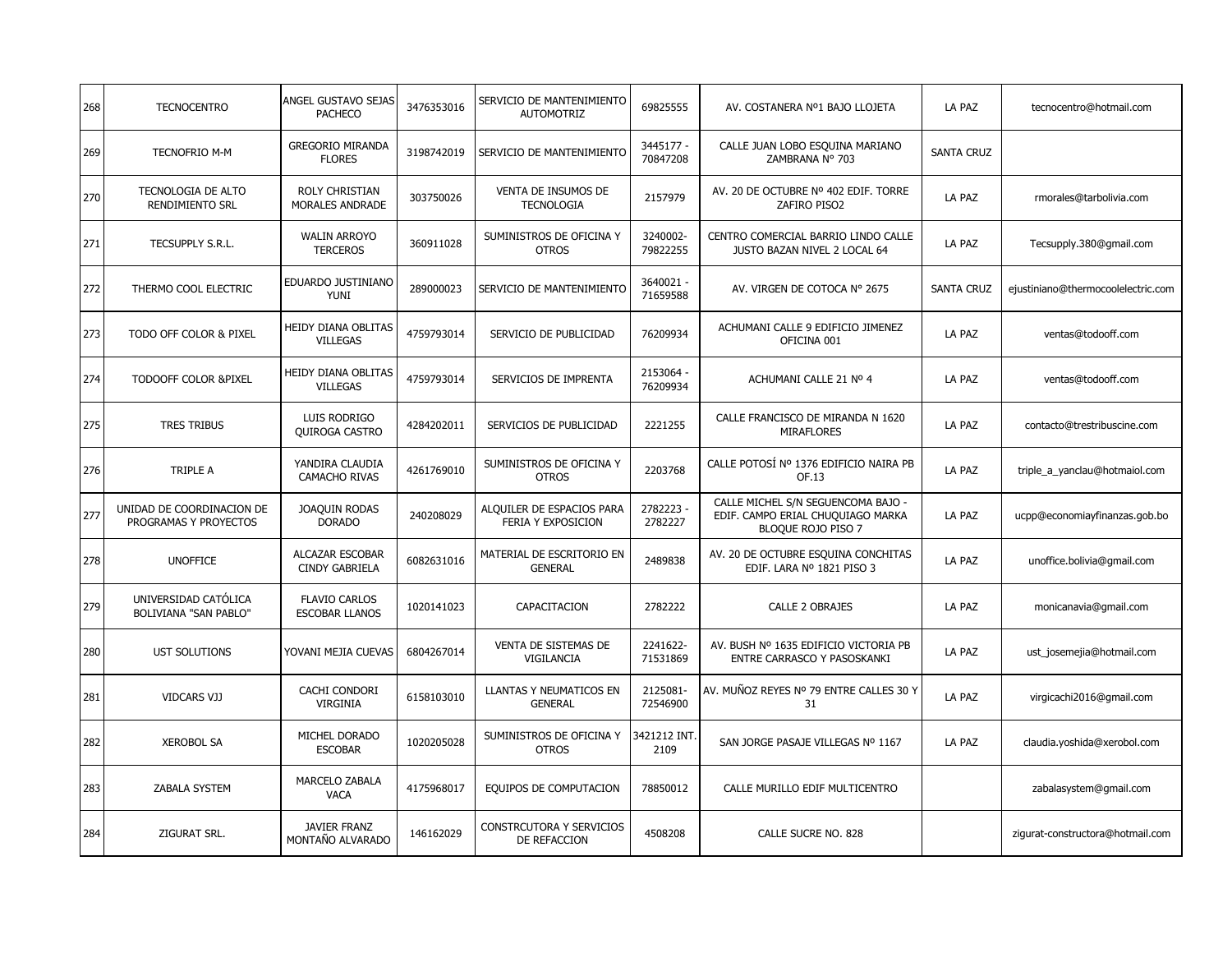| 268 | <b>TECNOCENTRO</b>                                   | ANGEL GUSTAVO SEJAS<br><b>PACHECO</b>           | 3476353016 | SERVICIO DE MANTENIMIENTO<br><b>AUTOMOTRIZ</b>  | 69825555              | AV. COSTANERA Nº1 BAJO LLOJETA                                                                | LA PAZ            | tecnocentro@hotmail.com            |
|-----|------------------------------------------------------|-------------------------------------------------|------------|-------------------------------------------------|-----------------------|-----------------------------------------------------------------------------------------------|-------------------|------------------------------------|
| 269 | <b>TECNOFRIO M-M</b>                                 | <b>GREGORIO MIRANDA</b><br><b>FLORES</b>        | 3198742019 | SERVICIO DE MANTENIMIENTO                       | 3445177 -<br>70847208 | CALLE JUAN LOBO ESQUINA MARIANO<br>ZAMBRANA Nº 703                                            | <b>SANTA CRUZ</b> |                                    |
| 270 | TECNOLOGIA DE ALTO<br><b>RENDIMIENTO SRL</b>         | <b>ROLY CHRISTIAN</b><br>MORALES ANDRADE        | 303750026  | VENTA DE INSUMOS DE<br><b>TECNOLOGIA</b>        | 2157979               | AV. 20 DE OCTUBRE Nº 402 EDIF. TORRE<br>ZAFIRO PISO2                                          | LA PAZ            | rmorales@tarbolivia.com            |
| 271 | TECSUPPLY S.R.L.                                     | <b>WALIN ARROYO</b><br><b>TERCEROS</b>          | 360911028  | SUMINISTROS DE OFICINA Y<br><b>OTROS</b>        | 3240002-<br>79822255  | CENTRO COMERCIAL BARRIO LINDO CALLE<br>JUSTO BAZAN NIVEL 2 LOCAL 64                           | LA PAZ            | Tecsupply.380@gmail.com            |
| 272 | THERMO COOL ELECTRIC                                 | EDUARDO JUSTINIANO<br>YUNI                      | 289000023  | SERVICIO DE MANTENIMIENTO                       | 3640021 -<br>71659588 | AV. VIRGEN DE COTOCA Nº 2675                                                                  | <b>SANTA CRUZ</b> | ejustiniano@thermocoolelectric.com |
| 273 | TODO OFF COLOR & PIXEL                               | HEIDY DIANA OBLITAS<br><b>VILLEGAS</b>          | 4759793014 | SERVICIO DE PUBLICIDAD                          | 76209934              | ACHUMANI CALLE 9 EDIFICIO JIMENEZ<br>OFICINA 001                                              | LA PAZ            | ventas@todooff.com                 |
| 274 | TODOOFF COLOR &PIXEL                                 | HEIDY DIANA OBLITAS<br><b>VILLEGAS</b>          | 4759793014 | SERVICIOS DE IMPRENTA                           | 2153064 -<br>76209934 | ACHUMANI CALLE 21 Nº 4                                                                        | LA PAZ            | ventas@todooff.com                 |
| 275 | <b>TRES TRIBUS</b>                                   | LUIS RODRIGO<br><b>QUIROGA CASTRO</b>           | 4284202011 | SERVICIOS DE PUBLICIDAD                         | 2221255               | CALLE FRANCISCO DE MIRANDA N 1620<br><b>MIRAFLORES</b>                                        | LA PAZ            | contacto@trestribuscine.com        |
| 276 | TRIPLE A                                             | YANDIRA CLAUDIA<br><b>CAMACHO RIVAS</b>         | 4261769010 | SUMINISTROS DE OFICINA Y<br><b>OTROS</b>        | 2203768               | CALLE POTOSÍ Nº 1376 EDIFICIO NAIRA PB<br>OF.13                                               | LA PAZ            | triple_a_yanclau@hotmaiol.com      |
| 277 | UNIDAD DE COORDINACION DE<br>PROGRAMAS Y PROYECTOS   | JOAQUIN RODAS<br><b>DORADO</b>                  | 240208029  | ALQUILER DE ESPACIOS PARA<br>FERIA Y EXPOSICION | 2782223<br>2782227    | CALLE MICHEL S/N SEGUENCOMA BAJO -<br>EDIF. CAMPO ERIAL CHUQUIAGO MARKA<br>BLOQUE ROJO PISO 7 | LA PAZ            | ucpp@economiayfinanzas.gob.bo      |
| 278 | <b>UNOFFICE</b>                                      | <b>ALCAZAR ESCOBAR</b><br><b>CINDY GABRIELA</b> | 6082631016 | MATERIAL DE ESCRITORIO EN<br><b>GENERAL</b>     | 2489838               | AV. 20 DE OCTUBRE ESQUINA CONCHITAS<br>EDIF. LARA Nº 1821 PISO 3                              | LA PAZ            | unoffice.bolivia@gmail.com         |
| 279 | UNIVERSIDAD CATÓLICA<br><b>BOLIVIANA "SAN PABLO"</b> | <b>FLAVIO CARLOS</b><br><b>ESCOBAR LLANOS</b>   | 1020141023 | CAPACITACION                                    | 2782222               | <b>CALLE 2 OBRAJES</b>                                                                        | LA PAZ            | monicanavia@gmail.com              |
| 280 | UST SOLUTIONS                                        | YOVANI MEJIA CUEVAS                             | 6804267014 | VENTA DE SISTEMAS DE<br>VIGILANCIA              | 2241622-<br>71531869  | AV. BUSH Nº 1635 EDIFICIO VICTORIA PB<br>ENTRE CARRASCO Y PASOSKANKI                          | LA PAZ            | ust_josemejia@hotmail.com          |
| 281 | <b>VIDCARS VJJ</b>                                   | CACHI CONDORI<br><b>VIRGINIA</b>                | 6158103010 | LLANTAS Y NEUMATICOS EN<br><b>GENERAL</b>       | 2125081-<br>72546900  | AV. MUÑOZ REYES Nº 79 ENTRE CALLES 30 Y<br>31                                                 | LA PAZ            | virgicachi2016@gmail.com           |
| 282 | <b>XEROBOL SA</b>                                    | MICHEL DORADO<br><b>ESCOBAR</b>                 | 1020205028 | SUMINISTROS DE OFICINA Y<br><b>OTROS</b>        | 3421212 INT.<br>2109  | SAN JORGE PASAJE VILLEGAS Nº 1167                                                             | LA PAZ            | claudia.yoshida@xerobol.com        |
| 283 | ZABALA SYSTEM                                        | MARCELO ZABALA<br><b>VACA</b>                   | 4175968017 | EQUIPOS DE COMPUTACION                          | 78850012              | CALLE MURILLO EDIF MULTICENTRO                                                                |                   | zabalasystem@gmail.com             |
| 284 | ZIGURAT SRL.                                         | <b>JAVIER FRANZ</b><br>MONTAÑO ALVARADO         | 146162029  | CONSTRCUTORA Y SERVICIOS<br>DE REFACCION        | 4508208               | CALLE SUCRE NO. 828                                                                           |                   | zigurat-constructora@hotmail.com   |